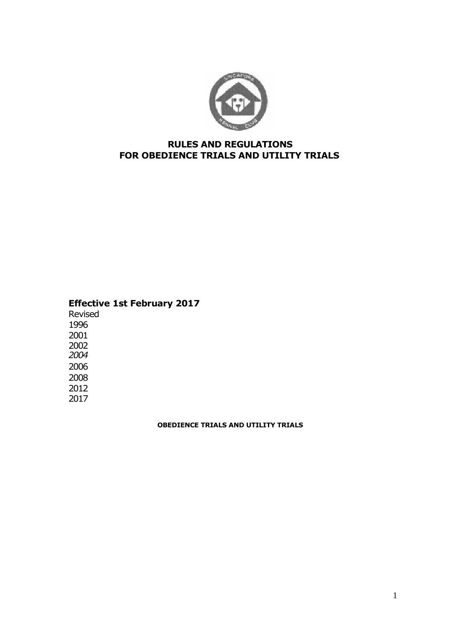

# **RULES AND REGULATIONS FOR OBEDIENCE TRIALS AND UTILITY TRIALS**

# **Effective 1st February 2017**

# **OBEDIENCE TRIALS AND UTILITY TRIALS**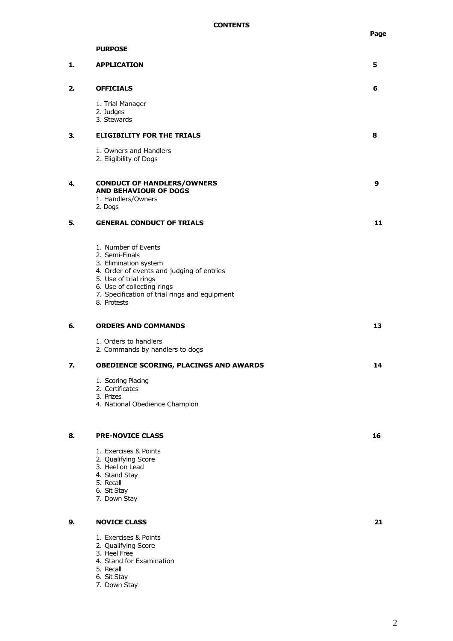|    | <b>PURPOSE</b>                                                                                                                                                                                                                     |    |
|----|------------------------------------------------------------------------------------------------------------------------------------------------------------------------------------------------------------------------------------|----|
| 1. | <b>APPLICATION</b>                                                                                                                                                                                                                 | 5  |
| 2. | <b>OFFICIALS</b>                                                                                                                                                                                                                   | 6  |
|    | 1. Trial Manager<br>2. Judges<br>3. Stewards                                                                                                                                                                                       |    |
| З. | <b>ELIGIBILITY FOR THE TRIALS</b>                                                                                                                                                                                                  | 8  |
|    | 1. Owners and Handlers<br>2. Eligibility of Dogs                                                                                                                                                                                   |    |
| 4. | <b>CONDUCT OF HANDLERS/OWNERS</b><br><b>AND BEHAVIOUR OF DOGS</b><br>1. Handlers/Owners<br>2. Dogs                                                                                                                                 | 9  |
| 5. | <b>GENERAL CONDUCT OF TRIALS</b>                                                                                                                                                                                                   | 11 |
|    | 1. Number of Events<br>2. Semi-Finals<br>3. Elimination system<br>4. Order of events and judging of entries<br>5. Use of trial rings<br>6. Use of collecting rings<br>7. Specification of trial rings and equipment<br>8. Protests |    |
| 6. | <b>ORDERS AND COMMANDS</b>                                                                                                                                                                                                         | 13 |
|    | 1. Orders to handlers<br>2. Commands by handlers to dogs                                                                                                                                                                           |    |
| 7. | OBEDIENCE SCORING, PLACINGS AND AWARDS                                                                                                                                                                                             | 14 |
|    | 1. Scoring Placing<br>2. Certificates<br>3. Prizes<br>4. National Obedience Champion                                                                                                                                               |    |
| 8. | <b>PRE-NOVICE CLASS</b>                                                                                                                                                                                                            | 16 |
|    | 1. Exercises & Points<br>2. Qualifying Score<br>3. Heel on Lead<br>4. Stand Stay<br>5. Recall<br>6. Sit Stay<br>7. Down Stay                                                                                                       |    |
| 9. | <b>NOVICE CLASS</b>                                                                                                                                                                                                                | 21 |
|    | 1. Exercises & Points<br>2. Qualifying Score<br>3. Heel Free<br>4. Stand for Examination<br>5. Recall                                                                                                                              |    |

6. 7. Sit Stay Down Stay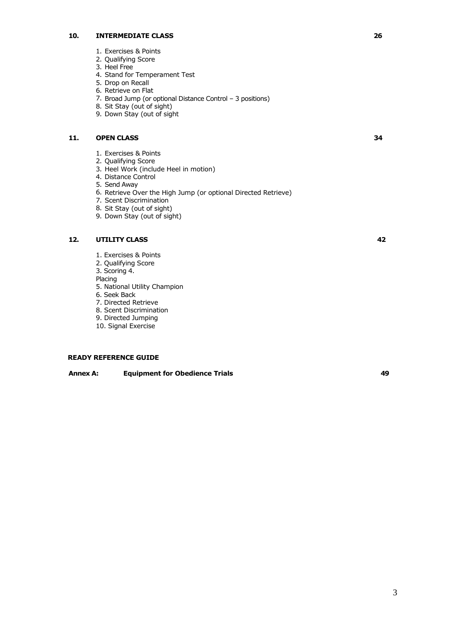## **10. INTERMEDIATE CLASS 26**

- 1. Exercises & Points
- 2. Qualifying Score
- 3. Heel Free
- 4. Stand for Temperament Test
- 5. Drop on Recall
- 6. Retrieve on Flat
- 7. Broad Jump (or optional Distance Control 3 positions)
- 8. Sit Stay (out of sight)
- 9. Down Stay (out of sight

## **11.** OPEN CLASS 34

- 1. Exercises & Points
- 2. Qualifying Score
- 3. Heel Work (include Heel in motion)
- 4. Distance Control
- 5. Send Away
- 6. Retrieve Over the High Jump (or optional Directed Retrieve)
- 7. Scent Discrimination
- 8. Sit Stay (out of sight)
- 9. Down Stay (out of sight)

## **12. UTILITY CLASS**

- 1. Exercises & Points
- 2. Qualifying Score
- 3. Scoring 4.

Placing

- 5. National Utility Champion
- 6. Seek Back
- 7. Directed Retrieve
- 8. Scent Discrimination
- 9. Directed Jumping 10. Signal Exercise
- **READY REFERENCE GUIDE**

## **Annex A: Equipment for Obedience Trials 49**

**42**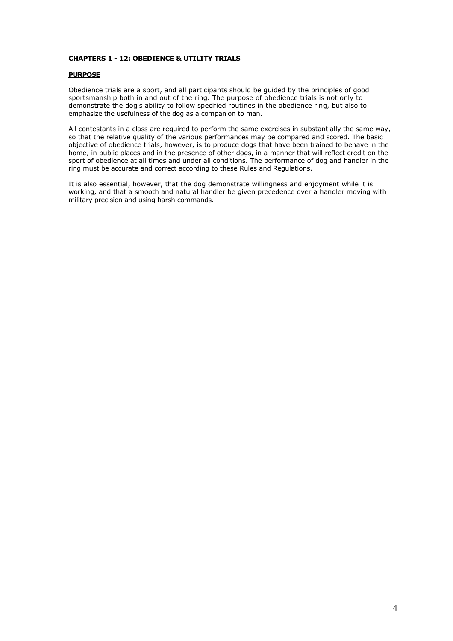## **CHAPTERS 1 - 12: OBEDIENCE & UTILITY TRIALS**

## **PURPOSE**

Obedience trials are a sport, and all participants should be guided by the principles of good sportsmanship both in and out of the ring. The purpose of obedience trials is not only to demonstrate the dog's ability to follow specified routines in the obedience ring, but also to emphasize the usefulness of the dog as a companion to man.

All contestants in a class are required to perform the same exercises in substantially the same way, so that the relative quality of the various performances may be compared and scored. The basic objective of obedience trials, however, is to produce dogs that have been trained to behave in the home, in public places and in the presence of other dogs, in a manner that will reflect credit on the sport of obedience at all times and under all conditions. The performance of dog and handler in the ring must be accurate and correct according to these Rules and Regulations.

It is also essential, however, that the dog demonstrate willingness and enjoyment while it is working, and that a smooth and natural handler be given precedence over a handler moving with military precision and using harsh commands.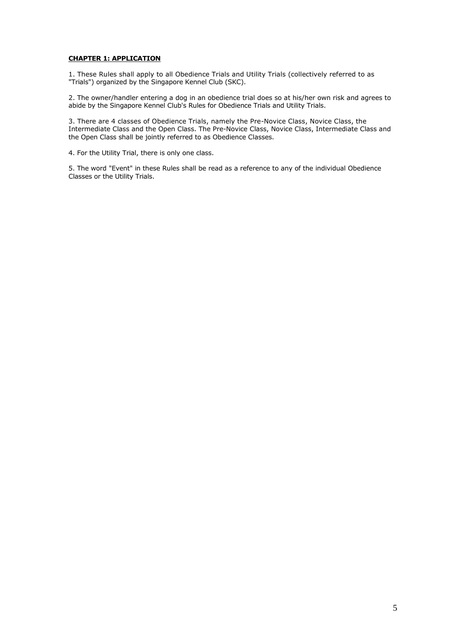## **CHAPTER 1: APPLICATION**

1. These Rules shall apply to all Obedience Trials and Utility Trials (collectively referred to as "Trials") organized by the Singapore Kennel Club (SKC).

2. The owner/handler entering a dog in an obedience trial does so at his/her own risk and agrees to abide by the Singapore Kennel Club's Rules for Obedience Trials and Utility Trials.

3. There are 4 classes of Obedience Trials, namely the Pre-Novice Class, Novice Class, the Intermediate Class and the Open Class. The Pre-Novice Class, Novice Class, Intermediate Class and the Open Class shall be jointly referred to as Obedience Classes.

4. For the Utility Trial, there is only one class.

5. The word "Event" in these Rules shall be read as a reference to any of the individual Obedience Classes or the Utility Trials.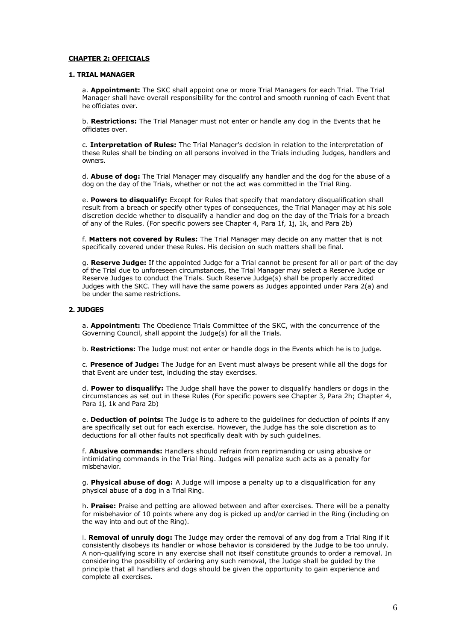## **CHAPTER 2: OFFICIALS**

#### **1. TRIAL MANAGER**

a. **Appointment:** The SKC shall appoint one or more Trial Managers for each Trial. The Trial Manager shall have overall responsibility for the control and smooth running of each Event that he officiates over.

b. **Restrictions:** The Trial Manager must not enter or handle any dog in the Events that he officiates over.

c. **Interpretation of Rules:** The Trial Manager's decision in relation to the interpretation of these Rules shall be binding on all persons involved in the Trials including Judges, handlers and owners.

d. **Abuse of dog:** The Trial Manager may disqualify any handler and the dog for the abuse of a dog on the day of the Trials, whether or not the act was committed in the Trial Ring.

e. **Powers to disqualify:** Except for Rules that specify that mandatory disqualification shall result from a breach or specify other types of consequences, the Trial Manager may at his sole discretion decide whether to disqualify a handler and dog on the day of the Trials for a breach of any of the Rules. (For specific powers see Chapter 4, Para 1f, 1j, 1k, and Para 2b)

f. **Matters not covered by Rules:** The Trial Manager may decide on any matter that is not specifically covered under these Rules. His decision on such matters shall be final.

g. **Reserve Judge:** If the appointed Judge for a Trial cannot be present for all or part of the day of the Trial due to unforeseen circumstances, the Trial Manager may select a Reserve Judge or Reserve Judges to conduct the Trials. Such Reserve Judge(s) shall be properly accredited Judges with the SKC. They will have the same powers as Judges appointed under Para 2(a) and be under the same restrictions.

## **2. JUDGES**

a. **Appointment:** The Obedience Trials Committee of the SKC, with the concurrence of the Governing Council, shall appoint the Judge(s) for all the Trials.

b. **Restrictions:** The Judge must not enter or handle dogs in the Events which he is to judge.

c. **Presence of Judge:** The Judge for an Event must always be present while all the dogs for that Event are under test, including the stay exercises.

d. **Power to disqualify:** The Judge shall have the power to disqualify handlers or dogs in the circumstances as set out in these Rules (For specific powers see Chapter 3, Para 2h; Chapter 4, Para 1j, 1k and Para 2b)

e. **Deduction of points:** The Judge is to adhere to the guidelines for deduction of points if any are specifically set out for each exercise. However, the Judge has the sole discretion as to deductions for all other faults not specifically dealt with by such guidelines.

f. **Abusive commands:** Handlers should refrain from reprimanding or using abusive or intimidating commands in the Trial Ring. Judges will penalize such acts as a penalty for misbehavior.

g. **Physical abuse of dog:** A Judge will impose a penalty up to a disqualification for any physical abuse of a dog in a Trial Ring.

h. **Praise:** Praise and petting are allowed between and after exercises. There will be a penalty for misbehavior of 10 points where any dog is picked up and/or carried in the Ring (including on the way into and out of the Ring).

i. **Removal of unruly dog:** The Judge may order the removal of any dog from a Trial Ring if it consistently disobeys its handler or whose behavior is considered by the Judge to be too unruly. A non-qualifying score in any exercise shall not itself constitute grounds to order a removal. In considering the possibility of ordering any such removal, the Judge shall be guided by the principle that all handlers and dogs should be given the opportunity to gain experience and complete all exercises.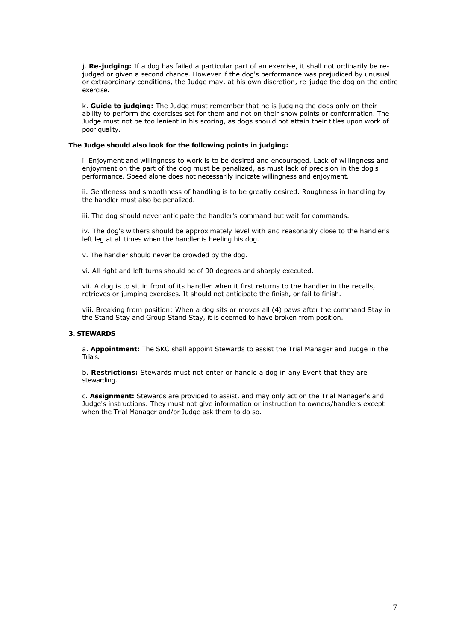j. **Re-judging:** If a dog has failed a particular part of an exercise, it shall not ordinarily be rejudged or given a second chance. However if the dog's performance was prejudiced by unusual or extraordinary conditions, the Judge may, at his own discretion, re-judge the dog on the entire exercise.

k. **Guide to judging:** The Judge must remember that he is judging the dogs only on their ability to perform the exercises set for them and not on their show points or conformation. The Judge must not be too lenient in his scoring, as dogs should not attain their titles upon work of poor quality.

## **The Judge should also look for the following points in judging:**

i. Enjoyment and willingness to work is to be desired and encouraged. Lack of willingness and enjoyment on the part of the dog must be penalized, as must lack of precision in the dog's performance. Speed alone does not necessarily indicate willingness and enjoyment.

ii. Gentleness and smoothness of handling is to be greatly desired. Roughness in handling by the handler must also be penalized.

iii. The dog should never anticipate the handler's command but wait for commands.

iv. The dog's withers should be approximately level with and reasonably close to the handler's left leg at all times when the handler is heeling his dog.

v. The handler should never be crowded by the dog.

vi. All right and left turns should be of 90 degrees and sharply executed.

vii. A dog is to sit in front of its handler when it first returns to the handler in the recalls, retrieves or jumping exercises. It should not anticipate the finish, or fail to finish.

viii. Breaking from position: When a dog sits or moves all (4) paws after the command Stay in the Stand Stay and Group Stand Stay, it is deemed to have broken from position.

## **3. STEWARDS**

a. **Appointment:** The SKC shall appoint Stewards to assist the Trial Manager and Judge in the Trials.

b. **Restrictions:** Stewards must not enter or handle a dog in any Event that they are stewarding.

c. **Assignment:** Stewards are provided to assist, and may only act on the Trial Manager's and Judge's instructions. They must not give information or instruction to owners/handlers except when the Trial Manager and/or Judge ask them to do so.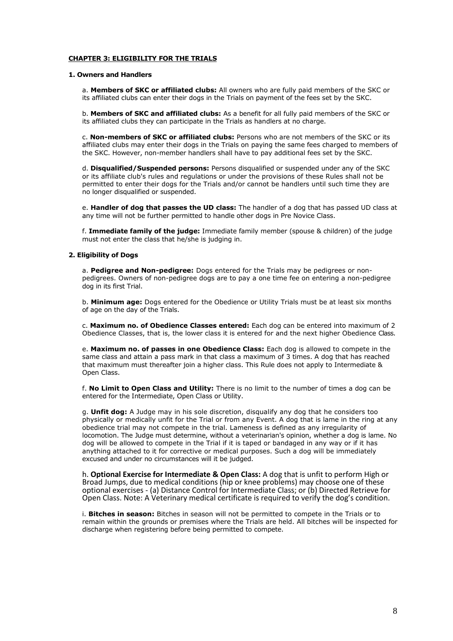## **CHAPTER 3: ELIGIBILITY FOR THE TRIALS**

#### **1. Owners and Handlers**

a. **Members of SKC or affiliated clubs:** All owners who are fully paid members of the SKC or its affiliated clubs can enter their dogs in the Trials on payment of the fees set by the SKC.

b. **Members of SKC and affiliated clubs:** As a benefit for all fully paid members of the SKC or its affiliated clubs they can participate in the Trials as handlers at no charge.

c. **Non-members of SKC or affiliated clubs:** Persons who are not members of the SKC or its affiliated clubs may enter their dogs in the Trials on paying the same fees charged to members of the SKC. However, non-member handlers shall have to pay additional fees set by the SKC.

d. **Disqualified/Suspended persons:** Persons disqualified or suspended under any of the SKC or its affiliate club's rules and regulations or under the provisions of these Rules shall not be permitted to enter their dogs for the Trials and/or cannot be handlers until such time they are no longer disqualified or suspended.

e. **Handler of dog that passes the UD class:** The handler of a dog that has passed UD class at any time will not be further permitted to handle other dogs in Pre Novice Class.

f. **Immediate family of the judge:** Immediate family member (spouse & children) of the judge must not enter the class that he/she is judging in.

## **2. Eligibility of Dogs**

a. **Pedigree and Non-pedigree:** Dogs entered for the Trials may be pedigrees or nonpedigrees. Owners of non-pedigree dogs are to pay a one time fee on entering a non-pedigree dog in its first Trial.

b. **Minimum age:** Dogs entered for the Obedience or Utility Trials must be at least six months of age on the day of the Trials.

c. **Maximum no. of Obedience Classes entered:** Each dog can be entered into maximum of 2 Obedience Classes, that is, the lower class it is entered for and the next higher Obedience Class.

e. **Maximum no. of passes in one Obedience Class:** Each dog is allowed to compete in the same class and attain a pass mark in that class a maximum of 3 times. A dog that has reached that maximum must thereafter join a higher class. This Rule does not apply to Intermediate & Open Class.

f. **No Limit to Open Class and Utility:** There is no limit to the number of times a dog can be entered for the Intermediate, Open Class or Utility.

g. **Unfit dog:** A Judge may in his sole discretion, disqualify any dog that he considers too physically or medically unfit for the Trial or from any Event. A dog that is lame in the ring at any obedience trial may not compete in the trial. Lameness is defined as any irregularity of locomotion. The Judge must determine, without a veterinarian's opinion, whether a dog is lame. No dog will be allowed to compete in the Trial if it is taped or bandaged in any way or if it has anything attached to it for corrective or medical purposes. Such a dog will be immediately excused and under no circumstances will it be judged.

h. **Optional Exercise for Intermediate & Open Class:** A dog that is unfit to perform High or Broad Jumps, due to medical conditions (hip or knee problems) may choose one of these optional exercises - (a) Distance Control for Intermediate Class; or (b) Directed Retrieve for Open Class. Note: A Veterinary medical certificate is required to verify the dog's condition.

i. **Bitches in season:** Bitches in season will not be permitted to compete in the Trials or to remain within the grounds or premises where the Trials are held. All bitches will be inspected for discharge when registering before being permitted to compete.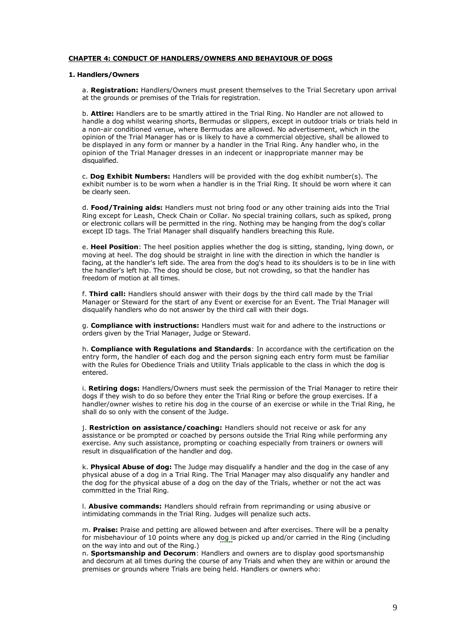## **CHAPTER 4: CONDUCT OF HANDLERS/OWNERS AND BEHAVIOUR OF DOGS**

#### **1. Handlers/Owners**

a. **Registration:** Handlers/Owners must present themselves to the Trial Secretary upon arrival at the grounds or premises of the Trials for registration.

b. **Attire:** Handlers are to be smartly attired in the Trial Ring. No Handler are not allowed to handle a dog whilst wearing shorts, Bermudas or slippers, except in outdoor trials or trials held in a non-air conditioned venue, where Bermudas are allowed. No advertisement, which in the opinion of the Trial Manager has or is likely to have a commercial objective, shall be allowed to be displayed in any form or manner by a handler in the Trial Ring. Any handler who, in the opinion of the Trial Manager dresses in an indecent or inappropriate manner may be disqualified.

c. **Dog Exhibit Numbers:** Handlers will be provided with the dog exhibit number(s). The exhibit number is to be worn when a handler is in the Trial Ring. It should be worn where it can be clearly seen.

d. **Food/Training aids:** Handlers must not bring food or any other training aids into the Trial Ring except for Leash, Check Chain or Collar. No special training collars, such as spiked, prong or electronic collars will be permitted in the ring. Nothing may be hanging from the dog's collar except ID tags. The Trial Manager shall disqualify handlers breaching this Rule.

e. **Heel Position**: The heel position applies whether the dog is sitting, standing, lying down, or moving at heel. The dog should be straight in line with the direction in which the handler is facing, at the handler's left side. The area from the dog's head to its shoulders is to be in line with the handler's left hip. The dog should be close, but not crowding, so that the handler has freedom of motion at all times.

f. **Third call:** Handlers should answer with their dogs by the third call made by the Trial Manager or Steward for the start of any Event or exercise for an Event. The Trial Manager will disqualify handlers who do not answer by the third call with their dogs.

g. **Compliance with instructions:** Handlers must wait for and adhere to the instructions or orders given by the Trial Manager, Judge or Steward.

h. **Compliance with Regulations and Standards**: In accordance with the certification on the entry form, the handler of each dog and the person signing each entry form must be familiar with the Rules for Obedience Trials and Utility Trials applicable to the class in which the dog is entered.

i. **Retiring dogs:** Handlers/Owners must seek the permission of the Trial Manager to retire their dogs if they wish to do so before they enter the Trial Ring or before the group exercises. If a handler/owner wishes to retire his dog in the course of an exercise or while in the Trial Ring, he shall do so only with the consent of the Judge.

j. **Restriction on assistance/coaching:** Handlers should not receive or ask for any assistance or be prompted or coached by persons outside the Trial Ring while performing any exercise. Any such assistance, prompting or coaching especially from trainers or owners will result in disqualification of the handler and dog.

k. **Physical Abuse of dog:** The Judge may disqualify a handler and the dog in the case of any physical abuse of a dog in a Trial Ring. The Trial Manager may also disqualify any handler and the dog for the physical abuse of a dog on the day of the Trials, whether or not the act was committed in the Trial Ring.

l. **Abusive commands:** Handlers should refrain from reprimanding or using abusive or intimidating commands in the Trial Ring. Judges will penalize such acts.

m. **Praise:** Praise and petting are allowed between and after exercises. There will be a penalty for misbehaviour of 10 points where any dog is picked up and/or carried in the Ring (including on the way into and out of the Ring.)

n. **Sportsmanship and Decorum**: Handlers and owners are to display good sportsmanship and decorum at all times during the course of any Trials and when they are within or around the premises or grounds where Trials are being held. Handlers or owners who: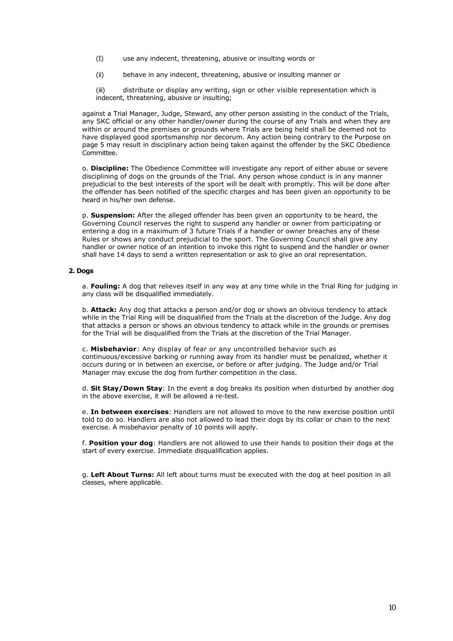- (I) use any indecent, threatening, abusive or insulting words or
- (ii) behave in any indecent, threatening, abusive or insulting manner or

(iii) distribute or display any writing, sign or other visible representation which is indecent, threatening, abusive or insulting;

against a Trial Manager, Judge, Steward, any other person assisting in the conduct of the Trials, any SKC official or any other handler/owner during the course of any Trials and when they are within or around the premises or grounds where Trials are being held shall be deemed not to have displayed good sportsmanship nor decorum. Any action being contrary to the Purpose on page 5 may result in disciplinary action being taken against the offender by the SKC Obedience Committee.

o. **Discipline:** The Obedience Committee will investigate any report of either abuse or severe disciplining of dogs on the grounds of the Trial. Any person whose conduct is in any manner prejudicial to the best interests of the sport will be dealt with promptly. This will be done after the offender has been notified of the specific charges and has been given an opportunity to be heard in his/her own defense.

p. **Suspension:** After the alleged offender has been given an opportunity to be heard, the Governing Council reserves the right to suspend any handler or owner from participating or entering a dog in a maximum of 3 future Trials if a handler or owner breaches any of these Rules or shows any conduct prejudicial to the sport. The Governing Council shall give any handler or owner notice of an intention to invoke this right to suspend and the handler or owner shall have 14 days to send a written representation or ask to give an oral representation.

## **2. Dogs**

a. **Fouling:** A dog that relieves itself in any way at any time while in the Trial Ring for judging in any class will be disqualified immediately.

b. **Attack:** Any dog that attacks a person and/or dog or shows an obvious tendency to attack while in the Trial Ring will be disqualified from the Trials at the discretion of the Judge. Any dog that attacks a person or shows an obvious tendency to attack while in the grounds or premises for the Trial will be disqualified from the Trials at the discretion of the Trial Manager.

c. **Misbehavior**: Any display of fear or any uncontrolled behavior such as continuous/excessive barking or running away from its handler must be penalized, whether it occurs during or in between an exercise, or before or after judging. The Judge and/or Trial Manager may excuse the dog from further competition in the class.

d. **Sit Stay/Down Stay**: In the event a dog breaks its position when disturbed by another dog in the above exercise, it will be allowed a re-test.

e. **In between exercises**: Handlers are not allowed to move to the new exercise position until told to do so. Handlers are also not allowed to lead their dogs by its collar or chain to the next exercise. A misbehavior penalty of 10 points will apply.

f. **Position your dog**: Handlers are not allowed to use their hands to position their dogs at the start of every exercise. Immediate disqualification applies.

g. **Left About Turns:** All left about turns must be executed with the dog at heel position in all classes, where applicable.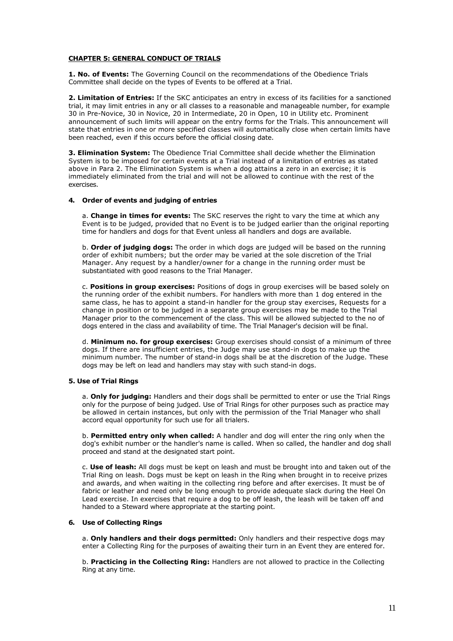## **CHAPTER 5: GENERAL CONDUCT OF TRIALS**

**1. No. of Events:** The Governing Council on the recommendations of the Obedience Trials Committee shall decide on the types of Events to be offered at a Trial.

**2. Limitation of Entries:** If the SKC anticipates an entry in excess of its facilities for a sanctioned trial, it may limit entries in any or all classes to a reasonable and manageable number, for example 30 in Pre-Novice, 30 in Novice, 20 in Intermediate, 20 in Open, 10 in Utility etc. Prominent announcement of such limits will appear on the entry forms for the Trials. This announcement will state that entries in one or more specified classes will automatically close when certain limits have been reached, even if this occurs before the official closing date.

**3. Elimination System:** The Obedience Trial Committee shall decide whether the Elimination System is to be imposed for certain events at a Trial instead of a limitation of entries as stated above in Para 2. The Elimination System is when a dog attains a zero in an exercise; it is immediately eliminated from the trial and will not be allowed to continue with the rest of the exercises.

## **4. Order of events and judging of entries**

a. **Change in times for events:** The SKC reserves the right to vary the time at which any Event is to be judged, provided that no Event is to be judged earlier than the original reporting time for handlers and dogs for that Event unless all handlers and dogs are available.

b. **Order of judging dogs:** The order in which dogs are judged will be based on the running order of exhibit numbers; but the order may be varied at the sole discretion of the Trial Manager. Any request by a handler/owner for a change in the running order must be substantiated with good reasons to the Trial Manager.

c. **Positions in group exercises:** Positions of dogs in group exercises will be based solely on the running order of the exhibit numbers. For handlers with more than 1 dog entered in the same class, he has to appoint a stand-in handler for the group stay exercises, Requests for a change in position or to be judged in a separate group exercises may be made to the Trial Manager prior to the commencement of the class. This will be allowed subjected to the no of dogs entered in the class and availability of time. The Trial Manager's decision will be final.

d. **Minimum no. for group exercises:** Group exercises should consist of a minimum of three dogs. If there are insufficient entries, the Judge may use stand-in dogs to make up the minimum number. The number of stand-in dogs shall be at the discretion of the Judge. These dogs may be left on lead and handlers may stay with such stand-in dogs.

## **5. Use of Trial Rings**

a. **Only for judging:** Handlers and their dogs shall be permitted to enter or use the Trial Rings only for the purpose of being judged. Use of Trial Rings for other purposes such as practice may be allowed in certain instances, but only with the permission of the Trial Manager who shall accord equal opportunity for such use for all trialers.

b. **Permitted entry only when called:** A handler and dog will enter the ring only when the dog's exhibit number or the handler's name is called. When so called, the handler and dog shall proceed and stand at the designated start point.

c. **Use of leash:** All dogs must be kept on leash and must be brought into and taken out of the Trial Ring on leash. Dogs must be kept on leash in the Ring when brought in to receive prizes and awards, and when waiting in the collecting ring before and after exercises. It must be of fabric or leather and need only be long enough to provide adequate slack during the Heel On Lead exercise. In exercises that require a dog to be off leash, the leash will be taken off and handed to a Steward where appropriate at the starting point.

## **6. Use of Collecting Rings**

a. **Only handlers and their dogs permitted:** Only handlers and their respective dogs may enter a Collecting Ring for the purposes of awaiting their turn in an Event they are entered for.

b. **Practicing in the Collecting Ring:** Handlers are not allowed to practice in the Collecting Ring at any time.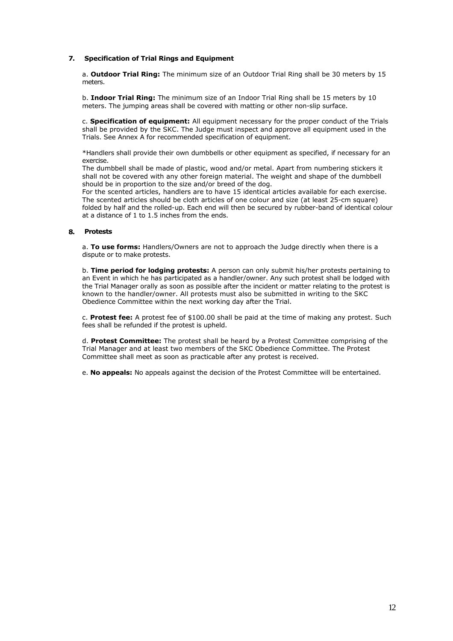## **7. Specification of Trial Rings and Equipment**

a. **Outdoor Trial Ring:** The minimum size of an Outdoor Trial Ring shall be 30 meters by 15 meters.

b. **Indoor Trial Ring:** The minimum size of an Indoor Trial Ring shall be 15 meters by 10 meters. The jumping areas shall be covered with matting or other non-slip surface.

c. **Specification of equipment:** All equipment necessary for the proper conduct of the Trials shall be provided by the SKC. The Judge must inspect and approve all equipment used in the Trials. See Annex A for recommended specification of equipment.

\*Handlers shall provide their own dumbbells or other equipment as specified, if necessary for an exercise.

The dumbbell shall be made of plastic, wood and/or metal. Apart from numbering stickers it shall not be covered with any other foreign material. The weight and shape of the dumbbell should be in proportion to the size and/or breed of the dog.

For the scented articles, handlers are to have 15 identical articles available for each exercise. The scented articles should be cloth articles of one colour and size (at least 25-cm square) folded by half and the rolled-up. Each end will then be secured by rubber-band of identical colour at a distance of 1 to 1.5 inches from the ends.

#### **8. Protests**

a. **To use forms:** Handlers/Owners are not to approach the Judge directly when there is a dispute or to make protests.

b. **Time period for lodging protests:** A person can only submit his/her protests pertaining to an Event in which he has participated as a handler/owner. Any such protest shall be lodged with the Trial Manager orally as soon as possible after the incident or matter relating to the protest is known to the handler/owner. All protests must also be submitted in writing to the SKC Obedience Committee within the next working day after the Trial.

c. **Protest fee:** A protest fee of \$100.00 shall be paid at the time of making any protest. Such fees shall be refunded if the protest is upheld.

d. **Protest Committee:** The protest shall be heard by a Protest Committee comprising of the Trial Manager and at least two members of the SKC Obedience Committee. The Protest Committee shall meet as soon as practicable after any protest is received.

e. **No appeals:** No appeals against the decision of the Protest Committee will be entertained.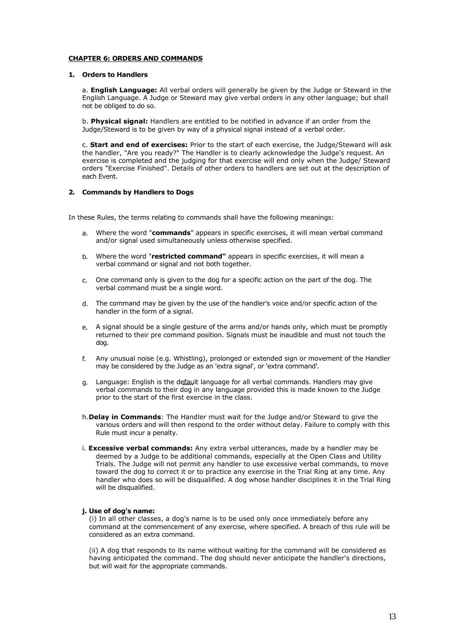## **CHAPTER 6: ORDERS AND COMMANDS**

## **1. Orders to Handlers**

a. **English Language:** All verbal orders will generally be given by the Judge or Steward in the English Language. A Judge or Steward may give verbal orders in any other language; but shall not be obliged to do so.

b. **Physical signal:** Handlers are entitled to be notified in advance if an order from the Judge/Steward is to be given by way of a physical signal instead of a verbal order.

c. **Start and end of exercises:** Prior to the start of each exercise, the Judge/Steward will ask the handler, "Are you ready?" The Handler is to clearly acknowledge the Judge's request. An exercise is completed and the judging for that exercise will end only when the Judge/ Steward orders "Exercise Finished". Details of other orders to handlers are set out at the description of each Event.

## **2. Commands by Handlers to Dogs**

In these Rules, the terms relating to commands shall have the following meanings:

- a. Where the word "**commands**" appears in specific exercises, it will mean verbal command and/or signal used simultaneously unless otherwise specified.
- b. Where the word "**restricted command"** appears in specific exercises, it will mean a verbal command or signal and not both together.
- c. One command only is given to the dog for a specific action on the part of the dog. The verbal command must be a single word.
- d. The command may be given by the use of the handler's voice and/or specific action of the handler in the form of a signal.
- e. A signal should be a single gesture of the arms and/or hands only, which must be promptly returned to their pre command position. Signals must be inaudible and must not touch the dog.
- f. Any unusual noise (e.g. Whistling), prolonged or extended sign or movement of the Handler may be considered by the Judge as an 'extra signal', or 'extra command'.
- g. Language: English is the default language for all verbal commands. Handlers may give verbal commands to their dog in any language provided this is made known to the Judge prior to the start of the first exercise in the class.
- h.**Delay in Commands**: The Handler must wait for the Judge and/or Steward to give the various orders and will then respond to the order without delay. Failure to comply with this Rule must incur a penalty.
- i. **Excessive verbal commands:** Any extra verbal utterances, made by a handler may be deemed by a Judge to be additional commands, especially at the Open Class and Utility Trials. The Judge will not permit any handler to use excessive verbal commands, to move toward the dog to correct it or to practice any exercise in the Trial Ring at any time. Any handler who does so will be disqualified. A dog whose handler disciplines it in the Trial Ring will be disqualified.

## **j. Use of dog's name:**

(i) In all other classes, a dog's name is to be used only once immediately before any command at the commencement of any exercise, where specified. A breach of this rule will be considered as an extra command.

(ii) A dog that responds to its name without waiting for the command will be considered as having anticipated the command. The dog should never anticipate the handler's directions, but will wait for the appropriate commands.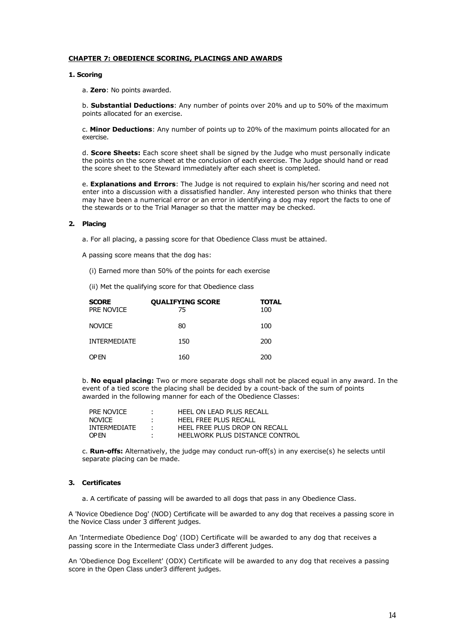## **CHAPTER 7: OBEDIENCE SCORING, PLACINGS AND AWARDS**

## **1. Scoring**

a. **Zero**: No points awarded.

b. **Substantial Deductions**: Any number of points over 20% and up to 50% of the maximum points allocated for an exercise.

c. **Minor Deductions**: Any number of points up to 20% of the maximum points allocated for an exercise.

d. **Score Sheets:** Each score sheet shall be signed by the Judge who must personally indicate the points on the score sheet at the conclusion of each exercise. The Judge should hand or read the score sheet to the Steward immediately after each sheet is completed.

e. **Explanations and Errors**: The Judge is not required to explain his/her scoring and need not enter into a discussion with a dissatisfied handler. Any interested person who thinks that there may have been a numerical error or an error in identifying a dog may report the facts to one of the stewards or to the Trial Manager so that the matter may be checked.

## **2. Placing**

- a. For all placing, a passing score for that Obedience Class must be attained.
- A passing score means that the dog has:
	- (i) Earned more than 50% of the points for each exercise
	- (ii) Met the qualifying score for that Obedience class

| <b>SCORE</b><br><b>PRE NOVICE</b> | <b>OUALIFYING SCORE</b><br>75 | <b>TOTAL</b><br>100 |
|-----------------------------------|-------------------------------|---------------------|
| <b>NOVICE</b>                     | 80                            | 100                 |
| <b>INTERMEDIATE</b>               | 150                           | 200                 |
| OP EN                             | 160                           | 200                 |

b. **No equal placing:** Two or more separate dogs shall not be placed equal in any award. In the event of a tied score the placing shall be decided by a count-back of the sum of points awarded in the following manner for each of the Obedience Classes:

| <b>PRE NOVICE</b> | HEEL ON LEAD PLUS RECALL       |
|-------------------|--------------------------------|
| <b>NOVICE</b>     | HEEL FREE PLUS RECALL          |
| INTFRMFDIATF      | HEEL FREE PLUS DROP ON RECALL  |
| <b>OP FN</b>      | HEELWORK PLUS DISTANCE CONTROL |

c. **Run-offs:** Alternatively, the judge may conduct run-off(s) in any exercise(s) he selects until separate placing can be made.

## **3. Certificates**

a. A certificate of passing will be awarded to all dogs that pass in any Obedience Class.

A 'Novice Obedience Dog' (NOD) Certificate will be awarded to any dog that receives a passing score in the Novice Class under 3 different judges.

An 'Intermediate Obedience Dog' (IOD) Certificate will be awarded to any dog that receives a passing score in the Intermediate Class under3 different judges.

An 'Obedience Dog Excellent' (ODX) Certificate will be awarded to any dog that receives a passing score in the Open Class under3 different judges.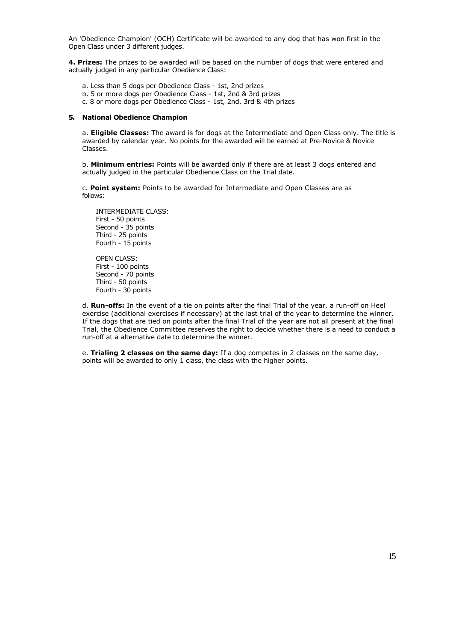An 'Obedience Champion' (OCH) Certificate will be awarded to any dog that has won first in the Open Class under 3 different judges.

**4. Prizes:** The prizes to be awarded will be based on the number of dogs that were entered and actually judged in any particular Obedience Class:

a. Less than 5 dogs per Obedience Class - 1st, 2nd prizes

- b. 5 or more dogs per Obedience Class 1st, 2nd & 3rd prizes
- c. 8 or more dogs per Obedience Class 1st, 2nd, 3rd & 4th prizes

#### **5. National Obedience Champion**

a. **Eligible Classes:** The award is for dogs at the Intermediate and Open Class only. The title is awarded by calendar year. No points for the awarded will be earned at Pre-Novice & Novice Classes.

b. **Minimum entries:** Points will be awarded only if there are at least 3 dogs entered and actually judged in the particular Obedience Class on the Trial date.

c. **Point system:** Points to be awarded for Intermediate and Open Classes are as follows:

INTERMEDIATE CLASS: First - 50 points Second - 35 points Third - 25 points Fourth - 15 points

OPEN CLASS: First - 100 points Second - 70 points Third - 50 points Fourth - 30 points

d. **Run-offs:** In the event of a tie on points after the final Trial of the year, a run-off on Heel exercise (additional exercises if necessary) at the last trial of the year to determine the winner. If the dogs that are tied on points after the final Trial of the year are not all present at the final Trial, the Obedience Committee reserves the right to decide whether there is a need to conduct a run-off at a alternative date to determine the winner.

e. **Trialing 2 classes on the same day:** If a dog competes in 2 classes on the same day, points will be awarded to only 1 class, the class with the higher points.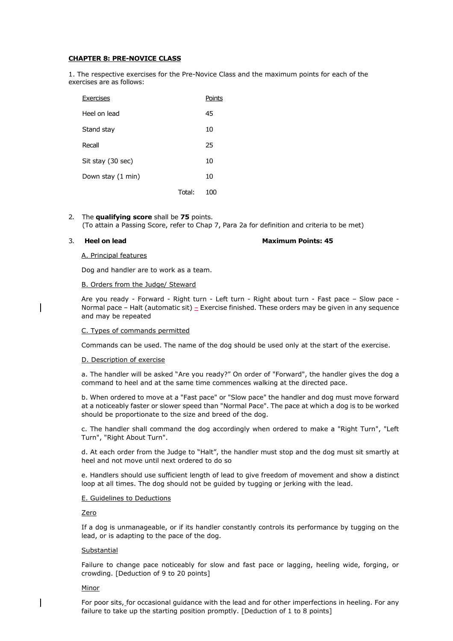## **CHAPTER 8: PRE-NOVICE CLASS**

1. The respective exercises for the Pre-Novice Class and the maximum points for each of the exercises are as follows:

| Exercises         |        | Points |
|-------------------|--------|--------|
| Heel on lead      |        | 45     |
| Stand stay        |        | 10     |
| Recall            |        | 25     |
| Sit stay (30 sec) |        | 10     |
| Down stay (1 min) |        | 10     |
|                   | Total: | 100    |

2. The **qualifying score** shall be **75** points. (To attain a Passing Score, refer to Chap 7, Para 2a for definition and criteria to be met)

#### 3. **Heel on lead Maximum Points: 45**

#### A. Principal features

Dog and handler are to work as a team.

#### B. Orders from the Judge/ Steward

Are you ready - Forward - Right turn - Left turn - Right about turn - Fast pace – Slow pace - Normal pace – Halt (automatic sit)  $=$  Exercise finished. These orders may be given in any sequence and may be repeated

## C. Types of commands permitted

Commands can be used. The name of the dog should be used only at the start of the exercise.

## D. Description of exercise

a. The handler will be asked "Are you ready?" On order of "Forward", the handler gives the dog a command to heel and at the same time commences walking at the directed pace.

b. When ordered to move at a "Fast pace" or "Slow pace" the handler and dog must move forward at a noticeably faster or slower speed than "Normal Pace". The pace at which a dog is to be worked should be proportionate to the size and breed of the dog.

c. The handler shall command the dog accordingly when ordered to make a "Right Turn", "Left Turn", "Right About Turn".

d. At each order from the Judge to "Halt", the handler must stop and the dog must sit smartly at heel and not move until next ordered to do so

e. Handlers should use sufficient length of lead to give freedom of movement and show a distinct loop at all times. The dog should not be guided by tugging or jerking with the lead.

#### E. Guidelines to Deductions

Zero

If a dog is unmanageable, or if its handler constantly controls its performance by tugging on the lead, or is adapting to the pace of the dog.

## **Substantial**

Failure to change pace noticeably for slow and fast pace or lagging, heeling wide, forging, or crowding. [Deduction of 9 to 20 points]

## Minor

For poor sits, for occasional guidance with the lead and for other imperfections in heeling. For any failure to take up the starting position promptly. [Deduction of 1 to 8 points]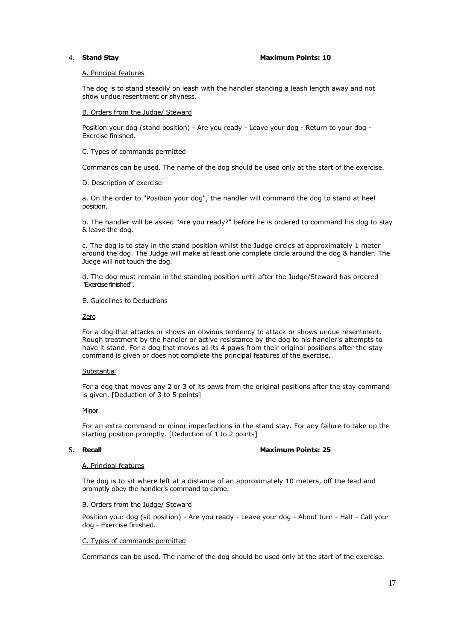#### 4. **Stand Stay Maximum Points: 10**

#### A. Principal features

The dog is to stand steadily on leash with the handler standing a leash length away and not show undue resentment or shyness.

#### B. Orders from the Judge/ Steward

Position your dog (stand position) - Are you ready - Leave your dog - Return to your dog - Exercise finished.

#### C. Types of commands permitted

Commands can be used. The name of the dog should be used only at the start of the exercise.

#### D. Description of exercise

a. On the order to "Position your dog", the handler will command the dog to stand at heel position.

b. The handler will be asked "Are you ready?" before he is ordered to command his dog to stay & leave the dog.

c. The dog is to stay in the stand position whilst the Judge circles at approximately 1 meter around the dog. The Judge will make at least one complete circle around the dog & handler. The Judge will not touch the dog.

d. The dog must remain in the standing position until after the Judge/Steward has ordered "Exercise finished".

#### E. Guidelines to Deductions

#### Zero

For a dog that attacks or shows an obvious tendency to attack or shows undue resentment. Rough treatment by the handler or active resistance by the dog to his handler's attempts to have it stand. For a dog that moves all its 4 paws from their original positions after the stay command is given or does not complete the principal features of the exercise.

## **Substantial**

For a dog that moves any 2 or 3 of its paws from the original positions after the stay command is given. [Deduction of 3 to 5 points]

#### Minor

For an extra command or minor imperfections in the stand stay. For any failure to take up the starting position promptly. [Deduction of 1 to 2 points]

## 5. **Recall Maximum Points: 25**

#### A. Principal features

The dog is to sit where left at a distance of an approximately 10 meters, off the lead and promptly obey the handler's command to come.

#### B. Orders from the Judge/ Steward

Position your dog (sit position) - Are you ready - Leave your dog - About turn - Halt - Call your dog - Exercise finished.

#### C. Types of commands permitted

Commands can be used. The name of the dog should be used only at the start of the exercise.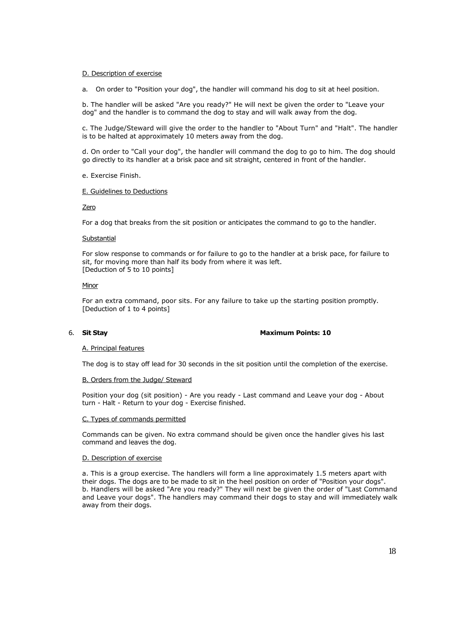#### D. Description of exercise

a. On order to "Position your dog", the handler will command his dog to sit at heel position.

b. The handler will be asked "Are you ready?" He will next be given the order to "Leave your dog" and the handler is to command the dog to stay and will walk away from the dog.

c. The Judge/Steward will give the order to the handler to "About Turn" and "Halt". The handler is to be halted at approximately 10 meters away from the dog.

d. On order to "Call your dog", the handler will command the dog to go to him. The dog should go directly to its handler at a brisk pace and sit straight, centered in front of the handler.

e. Exercise Finish.

#### E. Guidelines to Deductions

Zero

For a dog that breaks from the sit position or anticipates the command to go to the handler.

#### **Substantial**

For slow response to commands or for failure to go to the handler at a brisk pace, for failure to sit, for moving more than half its body from where it was left. [Deduction of 5 to 10 points]

#### **Minor**

For an extra command, poor sits. For any failure to take up the starting position promptly. [Deduction of 1 to 4 points]

## 6. **Sit Stay Maximum Points: 10**

#### A. Principal features

The dog is to stay off lead for 30 seconds in the sit position until the completion of the exercise.

#### B. Orders from the Judge/ Steward

Position your dog (sit position) - Are you ready - Last command and Leave your dog - About turn - Halt - Return to your dog - Exercise finished.

#### C. Types of commands permitted

Commands can be given. No extra command should be given once the handler gives his last command and leaves the dog.

#### D. Description of exercise

a. This is a group exercise. The handlers will form a line approximately 1.5 meters apart with their dogs. The dogs are to be made to sit in the heel position on order of "Position your dogs". b. Handlers will be asked "Are you ready?" They will next be given the order of "Last Command and Leave your dogs". The handlers may command their dogs to stay and will immediately walk away from their dogs.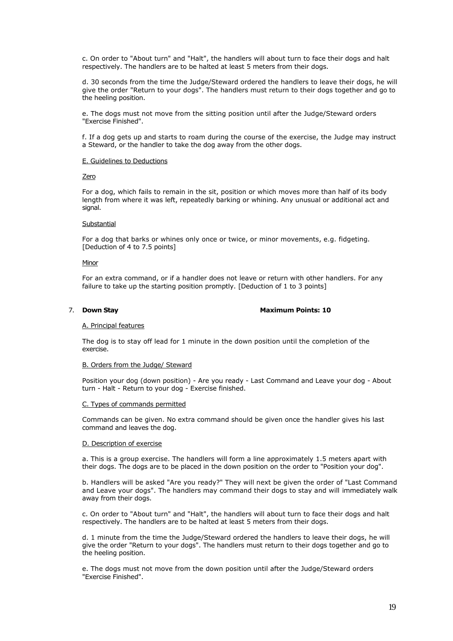c. On order to "About turn" and "Halt", the handlers will about turn to face their dogs and halt respectively. The handlers are to be halted at least 5 meters from their dogs.

d. 30 seconds from the time the Judge/Steward ordered the handlers to leave their dogs, he will give the order "Return to your dogs". The handlers must return to their dogs together and go to the heeling position.

e. The dogs must not move from the sitting position until after the Judge/Steward orders "Exercise Finished".

f. If a dog gets up and starts to roam during the course of the exercise, the Judge may instruct a Steward, or the handler to take the dog away from the other dogs.

#### E. Guidelines to Deductions

#### Zero

For a dog, which fails to remain in the sit, position or which moves more than half of its body length from where it was left, repeatedly barking or whining. Any unusual or additional act and signal.

## Substantial

For a dog that barks or whines only once or twice, or minor movements, e.g. fidgeting. [Deduction of 4 to 7.5 points]

#### **Minor**

For an extra command, or if a handler does not leave or return with other handlers. For any failure to take up the starting position promptly. [Deduction of 1 to 3 points]

#### 7. **Down Stay Maximum Points: 10**

#### A. Principal features

The dog is to stay off lead for 1 minute in the down position until the completion of the exercise.

#### B. Orders from the Judge/ Steward

Position your dog (down position) - Are you ready - Last Command and Leave your dog - About turn - Halt - Return to your dog - Exercise finished.

## C. Types of commands permitted

Commands can be given. No extra command should be given once the handler gives his last command and leaves the dog.

#### D. Description of exercise

a. This is a group exercise. The handlers will form a line approximately 1.5 meters apart with their dogs. The dogs are to be placed in the down position on the order to "Position your dog".

b. Handlers will be asked "Are you ready?" They will next be given the order of "Last Command and Leave your dogs". The handlers may command their dogs to stay and will immediately walk away from their dogs.

c. On order to "About turn" and "Halt", the handlers will about turn to face their dogs and halt respectively. The handlers are to be halted at least 5 meters from their dogs.

d. 1 minute from the time the Judge/Steward ordered the handlers to leave their dogs, he will give the order "Return to your dogs". The handlers must return to their dogs together and go to the heeling position.

e. The dogs must not move from the down position until after the Judge/Steward orders "Exercise Finished".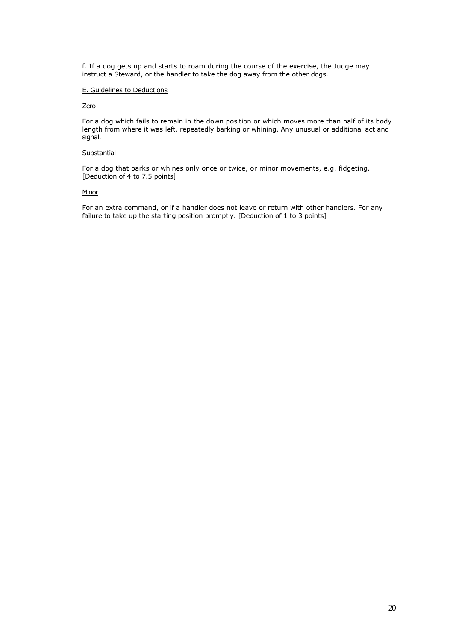f. If a dog gets up and starts to roam during the course of the exercise, the Judge may instruct a Steward, or the handler to take the dog away from the other dogs.

## E. Guidelines to Deductions

## **Zero**

For a dog which fails to remain in the down position or which moves more than half of its body length from where it was left, repeatedly barking or whining. Any unusual or additional act and signal.

## **Substantial**

For a dog that barks or whines only once or twice, or minor movements, e.g. fidgeting. [Deduction of 4 to 7.5 points]

#### **Minor**

For an extra command, or if a handler does not leave or return with other handlers. For any failure to take up the starting position promptly. [Deduction of 1 to 3 points]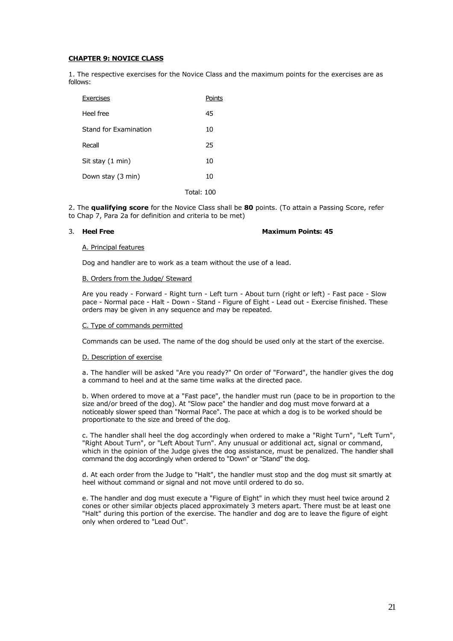## **CHAPTER 9: NOVICE CLASS**

1. The respective exercises for the Novice Class and the maximum points for the exercises are as follows:

| Exercises             | Points            |
|-----------------------|-------------------|
| Heel free             | 45                |
| Stand for Examination | 10                |
| Recall                | 25                |
| Sit stay (1 min)      | 10                |
| Down stay (3 min)     | 10                |
|                       | <b>Total: 100</b> |

2. The **qualifying score** for the Novice Class shall be **80** points. (To attain a Passing Score, refer to Chap 7, Para 2a for definition and criteria to be met)

## 3. **Heel Free Maximum Points: 45**

## A. Principal features

Dog and handler are to work as a team without the use of a lead.

## B. Orders from the Judge/ Steward

Are you ready - Forward - Right turn - Left turn - About turn (right or left) - Fast pace - Slow pace - Normal pace - Halt - Down - Stand - Figure of Eight - Lead out - Exercise finished. These orders may be given in any sequence and may be repeated.

## C. Type of commands permitted

Commands can be used. The name of the dog should be used only at the start of the exercise.

## D. Description of exercise

a. The handler will be asked "Are you ready?" On order of "Forward", the handler gives the dog a command to heel and at the same time walks at the directed pace.

b. When ordered to move at a "Fast pace", the handler must run (pace to be in proportion to the size and/or breed of the dog). At "Slow pace" the handler and dog must move forward at a noticeably slower speed than "Normal Pace". The pace at which a dog is to be worked should be proportionate to the size and breed of the dog.

c. The handler shall heel the dog accordingly when ordered to make a "Right Turn", "Left Turn", "Right About Turn", or "Left About Turn". Any unusual or additional act, signal or command, which in the opinion of the Judge gives the dog assistance, must be penalized. The handler shall command the dog accordingly when ordered to "Down" or "Stand" the dog.

d. At each order from the Judge to "Halt", the handler must stop and the dog must sit smartly at heel without command or signal and not move until ordered to do so.

e. The handler and dog must execute a "Figure of Eight" in which they must heel twice around 2 cones or other similar objects placed approximately 3 meters apart. There must be at least one "Halt" during this portion of the exercise. The handler and dog are to leave the figure of eight only when ordered to "Lead Out".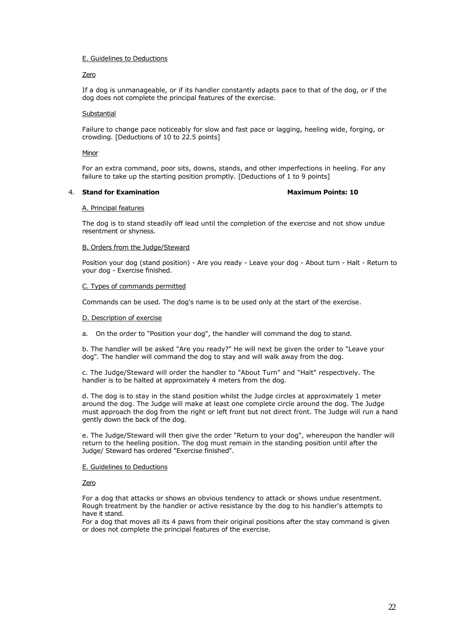## Zero

If a dog is unmanageable, or if its handler constantly adapts pace to that of the dog, or if the dog does not complete the principal features of the exercise.

## **Substantial**

Failure to change pace noticeably for slow and fast pace or lagging, heeling wide, forging, or crowding. [Deductions of 10 to 22.5 points]

## Minor

For an extra command, poor sits, downs, stands, and other imperfections in heeling. For any failure to take up the starting position promptly. [Deductions of 1 to 9 points]

## 4. **Stand for Examination Maximum Points: 10**

## A. Principal features

The dog is to stand steadily off lead until the completion of the exercise and not show undue resentment or shyness.

## B. Orders from the Judge/Steward

Position your dog (stand position) - Are you ready - Leave your dog - About turn - Halt - Return to your dog - Exercise finished.

## C. Types of commands permitted

Commands can be used. The dog's name is to be used only at the start of the exercise.

## D. Description of exercise

a. On the order to "Position your dog", the handler will command the dog to stand.

b. The handler will be asked "Are you ready?" He will next be given the order to "Leave your dog". The handler will command the dog to stay and will walk away from the dog.

c. The Judge/Steward will order the handler to "About Turn" and "Halt" respectively. The handler is to be halted at approximately 4 meters from the dog.

d. The dog is to stay in the stand position whilst the Judge circles at approximately 1 meter around the dog. The Judge will make at least one complete circle around the dog. The Judge must approach the dog from the right or left front but not direct front. The Judge will run a hand gently down the back of the dog.

e. The Judge/Steward will then give the order "Return to your dog", whereupon the handler will return to the heeling position. The dog must remain in the standing position until after the Judge/ Steward has ordered "Exercise finished".

## E. Guidelines to Deductions

## Zero

For a dog that attacks or shows an obvious tendency to attack or shows undue resentment. Rough treatment by the handler or active resistance by the dog to his handler's attempts to have it stand.

For a dog that moves all its 4 paws from their original positions after the stay command is given or does not complete the principal features of the exercise.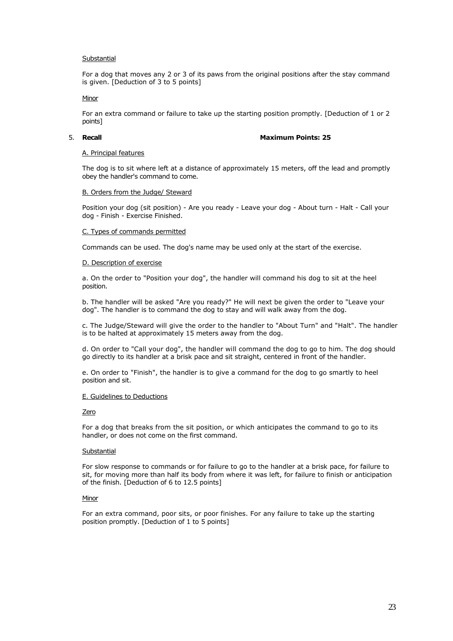## **Substantial**

For a dog that moves any 2 or 3 of its paws from the original positions after the stay command is given. [Deduction of 3 to 5 points]

## Minor

For an extra command or failure to take up the starting position promptly. [Deduction of 1 or 2 points]

## 5. **Recall Maximum Points: 25**

## A. Principal features

The dog is to sit where left at a distance of approximately 15 meters, off the lead and promptly obey the handler's command to come.

## B. Orders from the Judge/ Steward

Position your dog (sit position) - Are you ready - Leave your dog - About turn - Halt - Call your dog - Finish - Exercise Finished.

## C. Types of commands permitted

Commands can be used. The dog's name may be used only at the start of the exercise.

## D. Description of exercise

a. On the order to "Position your dog", the handler will command his dog to sit at the heel position.

b. The handler will be asked "Are you ready?" He will next be given the order to "Leave your dog". The handler is to command the dog to stay and will walk away from the dog.

c. The Judge/Steward will give the order to the handler to "About Turn" and "Halt". The handler is to be halted at approximately 15 meters away from the dog.

d. On order to "Call your dog", the handler will command the dog to go to him. The dog should go directly to its handler at a brisk pace and sit straight, centered in front of the handler.

e. On order to "Finish", the handler is to give a command for the dog to go smartly to heel position and sit.

## E. Guidelines to Deductions

## **Zero**

For a dog that breaks from the sit position, or which anticipates the command to go to its handler, or does not come on the first command.

## **Substantial**

For slow response to commands or for failure to go to the handler at a brisk pace, for failure to sit, for moving more than half its body from where it was left, for failure to finish or anticipation of the finish. [Deduction of 6 to 12.5 points]

## Minor

For an extra command, poor sits, or poor finishes. For any failure to take up the starting position promptly. [Deduction of 1 to 5 points]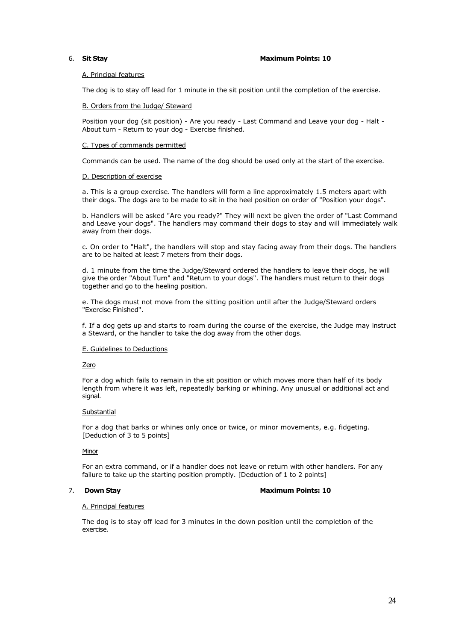#### 6. **Sit Stay Maximum Points: 10**

## A. Principal features

The dog is to stay off lead for 1 minute in the sit position until the completion of the exercise.

## B. Orders from the Judge/ Steward

Position your dog (sit position) - Are you ready - Last Command and Leave your dog - Halt - About turn - Return to your dog - Exercise finished.

## C. Types of commands permitted

Commands can be used. The name of the dog should be used only at the start of the exercise.

#### D. Description of exercise

a. This is a group exercise. The handlers will form a line approximately 1.5 meters apart with their dogs. The dogs are to be made to sit in the heel position on order of "Position your dogs".

b. Handlers will be asked "Are you ready?" They will next be given the order of "Last Command and Leave your dogs". The handlers may command their dogs to stay and will immediately walk away from their dogs.

c. On order to "Halt", the handlers will stop and stay facing away from their dogs. The handlers are to be halted at least 7 meters from their dogs.

d. 1 minute from the time the Judge/Steward ordered the handlers to leave their dogs, he will give the order "About Turn" and "Return to your dogs". The handlers must return to their dogs together and go to the heeling position.

e. The dogs must not move from the sitting position until after the Judge/Steward orders "Exercise Finished".

f. If a dog gets up and starts to roam during the course of the exercise, the Judge may instruct a Steward, or the handler to take the dog away from the other dogs.

#### E. Guidelines to Deductions

#### Zero

For a dog which fails to remain in the sit position or which moves more than half of its body length from where it was left, repeatedly barking or whining. Any unusual or additional act and signal.

#### **Substantial**

For a dog that barks or whines only once or twice, or minor movements, e.g. fidgeting. [Deduction of 3 to 5 points]

#### Minor

For an extra command, or if a handler does not leave or return with other handlers. For any failure to take up the starting position promptly. [Deduction of 1 to 2 points]

#### 7. **Down Stay Maximum Points: 10**

#### A. Principal features

The dog is to stay off lead for 3 minutes in the down position until the completion of the exercise.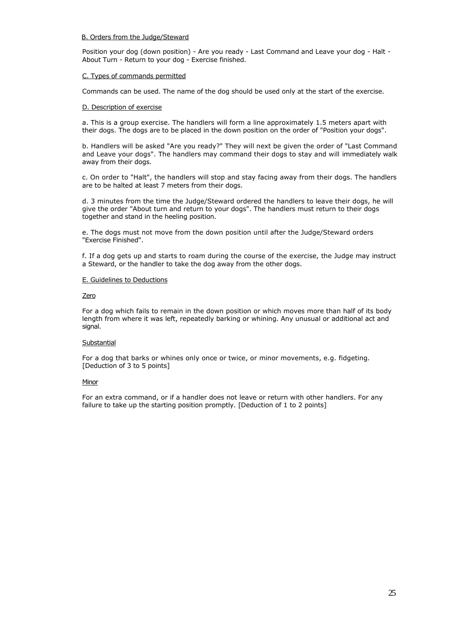## B. Orders from the Judge/Steward

Position your dog (down position) - Are you ready - Last Command and Leave your dog - Halt - About Turn - Return to your dog - Exercise finished.

## C. Types of commands permitted

Commands can be used. The name of the dog should be used only at the start of the exercise.

#### D. Description of exercise

a. This is a group exercise. The handlers will form a line approximately 1.5 meters apart with their dogs. The dogs are to be placed in the down position on the order of "Position your dogs".

b. Handlers will be asked "Are you ready?" They will next be given the order of "Last Command and Leave your dogs". The handlers may command their dogs to stay and will immediately walk away from their dogs.

c. On order to "Halt", the handlers will stop and stay facing away from their dogs. The handlers are to be halted at least 7 meters from their dogs.

d. 3 minutes from the time the Judge/Steward ordered the handlers to leave their dogs, he will give the order "About turn and return to your dogs". The handlers must return to their dogs together and stand in the heeling position.

e. The dogs must not move from the down position until after the Judge/Steward orders "Exercise Finished".

f. If a dog gets up and starts to roam during the course of the exercise, the Judge may instruct a Steward, or the handler to take the dog away from the other dogs.

## E. Guidelines to Deductions

#### Zero

For a dog which fails to remain in the down position or which moves more than half of its body length from where it was left, repeatedly barking or whining. Any unusual or additional act and signal.

## **Substantial**

For a dog that barks or whines only once or twice, or minor movements, e.g. fidgeting. [Deduction of 3 to 5 points]

## Minor

For an extra command, or if a handler does not leave or return with other handlers. For any failure to take up the starting position promptly. [Deduction of 1 to 2 points]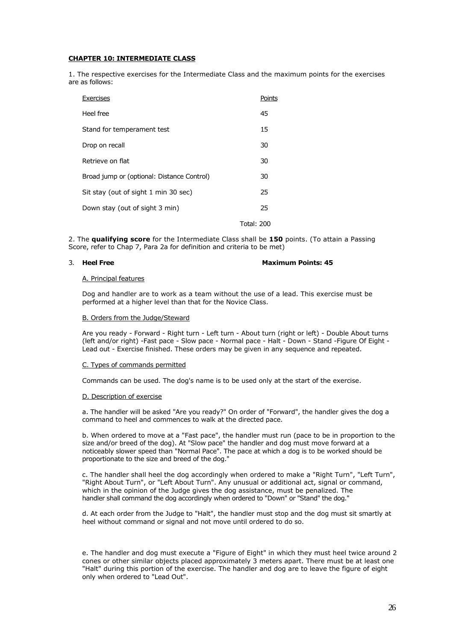## **CHAPTER 10: INTERMEDIATE CLASS**

1. The respective exercises for the Intermediate Class and the maximum points for the exercises are as follows:

| Exercises                                  | Points            |
|--------------------------------------------|-------------------|
| Heel free                                  | 45                |
| Stand for temperament test                 | 15                |
| Drop on recall                             | 30                |
| Retrieve on flat                           | 30                |
| Broad jump or (optional: Distance Control) | 30                |
| Sit stay (out of sight 1 min 30 sec)       | 25                |
| Down stay (out of sight 3 min)             | 25                |
|                                            | <b>Total: 200</b> |

2. The **qualifying score** for the Intermediate Class shall be **150** points. (To attain a Passing Score, refer to Chap 7, Para 2a for definition and criteria to be met)

## 3. **Heel Free Maximum Points: 45**

#### A. Principal features

Dog and handler are to work as a team without the use of a lead. This exercise must be performed at a higher level than that for the Novice Class.

#### B. Orders from the Judge/Steward

Are you ready - Forward - Right turn - Left turn - About turn (right or left) - Double About turns (left and/or right) -Fast pace - Slow pace - Normal pace - Halt - Down - Stand -Figure Of Eight - Lead out - Exercise finished. These orders may be given in any sequence and repeated.

#### C. Types of commands permitted

Commands can be used. The dog's name is to be used only at the start of the exercise.

## D. Description of exercise

a. The handler will be asked "Are you ready?" On order of "Forward", the handler gives the dog a command to heel and commences to walk at the directed pace.

b. When ordered to move at a "Fast pace", the handler must run (pace to be in proportion to the size and/or breed of the dog). At "Slow pace" the handler and dog must move forward at a noticeably slower speed than "Normal Pace". The pace at which a dog is to be worked should be proportionate to the size and breed of the dog."

c. The handler shall heel the dog accordingly when ordered to make a "Right Turn", "Left Turn", "Right About Turn", or "Left About Turn". Any unusual or additional act, signal or command, which in the opinion of the Judge gives the dog assistance, must be penalized. The handler shall command the dog accordingly when ordered to "Down" or "Stand" the dog."

d. At each order from the Judge to "Halt", the handler must stop and the dog must sit smartly at heel without command or signal and not move until ordered to do so.

e. The handler and dog must execute a "Figure of Eight" in which they must heel twice around 2 cones or other similar objects placed approximately 3 meters apart. There must be at least one "Halt" during this portion of the exercise. The handler and dog are to leave the figure of eight only when ordered to "Lead Out".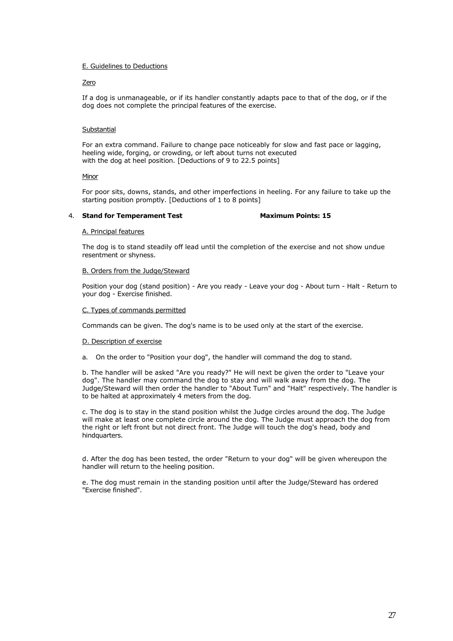## Zero

If a dog is unmanageable, or if its handler constantly adapts pace to that of the dog, or if the dog does not complete the principal features of the exercise.

## Substantial

For an extra command. Failure to change pace noticeably for slow and fast pace or lagging, heeling wide, forging, or crowding, or left about turns not executed with the dog at heel position. [Deductions of 9 to 22.5 points]

## **Minor**

For poor sits, downs, stands, and other imperfections in heeling. For any failure to take up the starting position promptly. [Deductions of 1 to 8 points]

## 4. **Stand for Temperament Test Maximum Points: 15**

## A. Principal features

The dog is to stand steadily off lead until the completion of the exercise and not show undue resentment or shyness.

## B. Orders from the Judge/Steward

Position your dog (stand position) - Are you ready - Leave your dog - About turn - Halt - Return to your dog - Exercise finished.

## C. Types of commands permitted

Commands can be given. The dog's name is to be used only at the start of the exercise.

## D. Description of exercise

a. On the order to "Position your dog", the handler will command the dog to stand.

b. The handler will be asked "Are you ready?" He will next be given the order to "Leave your dog". The handler may command the dog to stay and will walk away from the dog. The Judge/Steward will then order the handler to "About Turn" and "Halt" respectively. The handler is to be halted at approximately 4 meters from the dog.

c. The dog is to stay in the stand position whilst the Judge circles around the dog. The Judge will make at least one complete circle around the dog. The Judge must approach the dog from the right or left front but not direct front. The Judge will touch the dog's head, body and hindquarters.

d. After the dog has been tested, the order "Return to your dog" will be given whereupon the handler will return to the heeling position.

e. The dog must remain in the standing position until after the Judge/Steward has ordered "Exercise finished".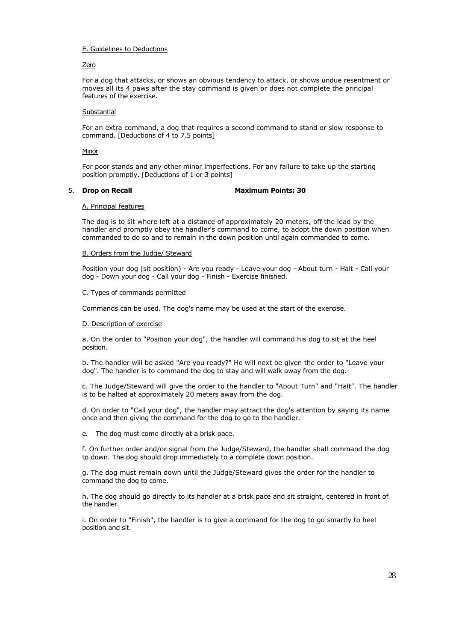## Zero

For a dog that attacks, or shows an obvious tendency to attack, or shows undue resentment or moves all its 4 paws after the stay command is given or does not complete the principal features of the exercise.

## **Substantial**

For an extra command, a dog that requires a second command to stand or slow response to command. [Deductions of 4 to 7.5 points]

## Minor

For poor stands and any other minor imperfections. For any failure to take up the starting position promptly. [Deductions of 1 or 3 points]

## 5. **Drop on Recall Maximum Points: 30**

## A. Principal features

The dog is to sit where left at a distance of approximately 20 meters, off the lead by the handler and promptly obey the handler's command to come, to adopt the down position when commanded to do so and to remain in the down position until again commanded to come.

## B. Orders from the Judge/ Steward

Position your dog (sit position) - Are you ready - Leave your dog - About turn - Halt - Call your dog - Down your dog - Call your dog - Finish - Exercise finished.

## C. Types of commands permitted

Commands can be used. The dog's name may be used at the start of the exercise.

## D. Description of exercise

a. On the order to "Position your dog", the handler will command his dog to sit at the heel position.

b. The handler will be asked "Are you ready?" He will next be given the order to "Leave your dog". The handler is to command the dog to stay and will walk away from the dog.

c. The Judge/Steward will give the order to the handler to "About Turn" and "Halt". The handler is to be halted at approximately 20 meters away from the dog.

d. On order to "Call your dog", the handler may attract the dog's attention by saying its name once and then giving the command for the dog to go to the handler.

e. The dog must come directly at a brisk pace.

f. On further order and/or signal from the Judge/Steward, the handler shall command the dog to down. The dog should drop immediately to a complete down position.

g. The dog must remain down until the Judge/Steward gives the order for the handler to command the dog to come.

h. The dog should go directly to its handler at a brisk pace and sit straight, centered in front of the handler.

i. On order to "Finish", the handler is to give a command for the dog to go smartly to heel position and sit.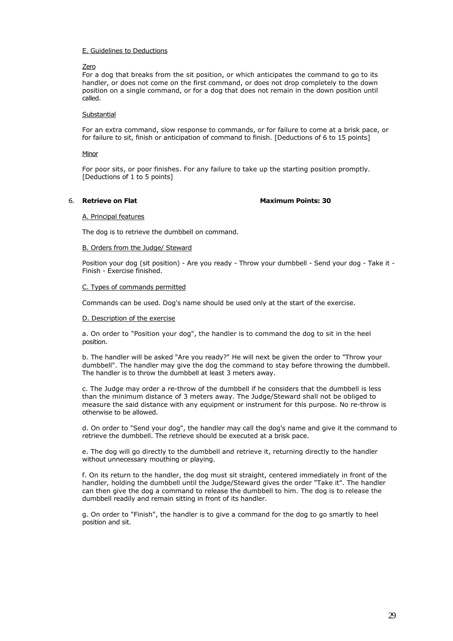## Zero

For a dog that breaks from the sit position, or which anticipates the command to go to its handler, or does not come on the first command, or does not drop completely to the down position on a single command, or for a dog that does not remain in the down position until called.

## Substantial

For an extra command, slow response to commands, or for failure to come at a brisk pace, or for failure to sit, finish or anticipation of command to finish. [Deductions of 6 to 15 points]

## Minor

For poor sits, or poor finishes. For any failure to take up the starting position promptly. [Deductions of 1 to 5 points]

## 6. **Retrieve on Flat Maximum Points: 30**

A. Principal features

The dog is to retrieve the dumbbell on command.

## B. Orders from the Judge/ Steward

Position your dog (sit position) - Are you ready - Throw your dumbbell - Send your dog - Take it - Finish - Exercise finished.

## C. Types of commands permitted

Commands can be used. Dog's name should be used only at the start of the exercise.

## D. Description of the exercise

a. On order to "Position your dog", the handler is to command the dog to sit in the heel position.

b. The handler will be asked "Are you ready?" He will next be given the order to "Throw your dumbbell". The handler may give the dog the command to stay before throwing the dumbbell. The handler is to throw the dumbbell at least 3 meters away.

c. The Judge may order a re-throw of the dumbbell if he considers that the dumbbell is less than the minimum distance of 3 meters away. The Judge/Steward shall not be obliged to measure the said distance with any equipment or instrument for this purpose. No re-throw is otherwise to be allowed.

d. On order to "Send your dog", the handler may call the dog's name and give it the command to retrieve the dumbbell. The retrieve should be executed at a brisk pace.

e. The dog will go directly to the dumbbell and retrieve it, returning directly to the handler without unnecessary mouthing or playing.

f. On its return to the handler, the dog must sit straight, centered immediately in front of the handler, holding the dumbbell until the Judge/Steward gives the order "Take it". The handler can then give the dog a command to release the dumbbell to him. The dog is to release the dumbbell readily and remain sitting in front of its handler.

g. On order to "Finish", the handler is to give a command for the dog to go smartly to heel position and sit.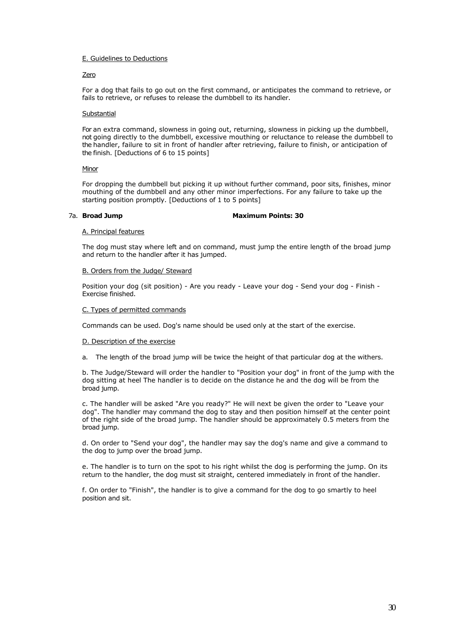#### Zero

For a dog that fails to go out on the first command, or anticipates the command to retrieve, or fails to retrieve, or refuses to release the dumbbell to its handler.

#### **Substantial**

For an extra command, slowness in going out, returning, slowness in picking up the dumbbell, not going directly to the dumbbell, excessive mouthing or reluctance to release the dumbbell to the handler, failure to sit in front of handler after retrieving, failure to finish, or anticipation of the finish. [Deductions of 6 to 15 points]

#### **Minor**

For dropping the dumbbell but picking it up without further command, poor sits, finishes, minor mouthing of the dumbbell and any other minor imperfections. For any failure to take up the starting position promptly. [Deductions of 1 to 5 points]

## 7a. **Broad Jump Maximum Points: 30**

#### A. Principal features

The dog must stay where left and on command, must jump the entire length of the broad jump and return to the handler after it has jumped.

#### B. Orders from the Judge/ Steward

Position your dog (sit position) - Are you ready - Leave your dog - Send your dog - Finish - Exercise finished.

#### C. Types of permitted commands

Commands can be used. Dog's name should be used only at the start of the exercise.

#### D. Description of the exercise

a. The length of the broad jump will be twice the height of that particular dog at the withers.

b. The Judge/Steward will order the handler to "Position your dog" in front of the jump with the dog sitting at heel The handler is to decide on the distance he and the dog will be from the broad jump.

c. The handler will be asked "Are you ready?" He will next be given the order to "Leave your dog". The handler may command the dog to stay and then position himself at the center point of the right side of the broad jump. The handler should be approximately 0.5 meters from the broad jump.

d. On order to "Send your dog", the handler may say the dog's name and give a command to the dog to jump over the broad jump.

e. The handler is to turn on the spot to his right whilst the dog is performing the jump. On its return to the handler, the dog must sit straight, centered immediately in front of the handler.

f. On order to "Finish", the handler is to give a command for the dog to go smartly to heel position and sit.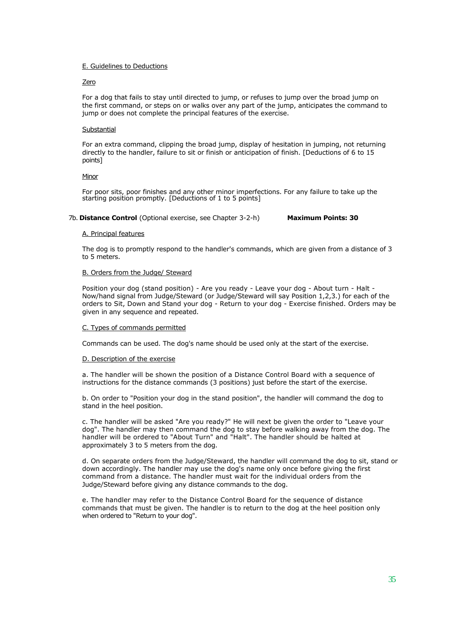#### Zero

For a dog that fails to stay until directed to jump, or refuses to jump over the broad jump on the first command, or steps on or walks over any part of the jump, anticipates the command to jump or does not complete the principal features of the exercise.

#### **Substantial**

For an extra command, clipping the broad jump, display of hesitation in jumping, not returning directly to the handler, failure to sit or finish or anticipation of finish. [Deductions of 6 to 15 points]

#### **Minor**

For poor sits, poor finishes and any other minor imperfections. For any failure to take up the starting position promptly. [Deductions of 1 to 5 points]

## 7b. **Distance Control** (Optional exercise, see Chapter 3-2-h) **Maximum Points: 30**

#### A. Principal features

The dog is to promptly respond to the handler's commands, which are given from a distance of 3 to 5 meters.

#### B. Orders from the Judge/ Steward

Position your dog (stand position) - Are you ready - Leave your dog - About turn - Halt - Now/hand signal from Judge/Steward (or Judge/Steward will say Position 1,2,3.) for each of the orders to Sit, Down and Stand your dog - Return to your dog - Exercise finished. Orders may be given in any sequence and repeated.

#### C. Types of commands permitted

Commands can be used. The dog's name should be used only at the start of the exercise.

#### D. Description of the exercise

a. The handler will be shown the position of a Distance Control Board with a sequence of instructions for the distance commands (3 positions) just before the start of the exercise.

b. On order to "Position your dog in the stand position", the handler will command the dog to stand in the heel position.

c. The handler will be asked "Are you ready?" He will next be given the order to "Leave your dog". The handler may then command the dog to stay before walking away from the dog. The handler will be ordered to "About Turn" and "Halt". The handler should be halted at approximately 3 to 5 meters from the dog.

d. On separate orders from the Judge/Steward, the handler will command the dog to sit, stand or down accordingly. The handler may use the dog's name only once before giving the first command from a distance. The handler must wait for the individual orders from the Judge/Steward before giving any distance commands to the dog.

e. The handler may refer to the Distance Control Board for the sequence of distance commands that must be given. The handler is to return to the dog at the heel position only when ordered to "Return to your dog".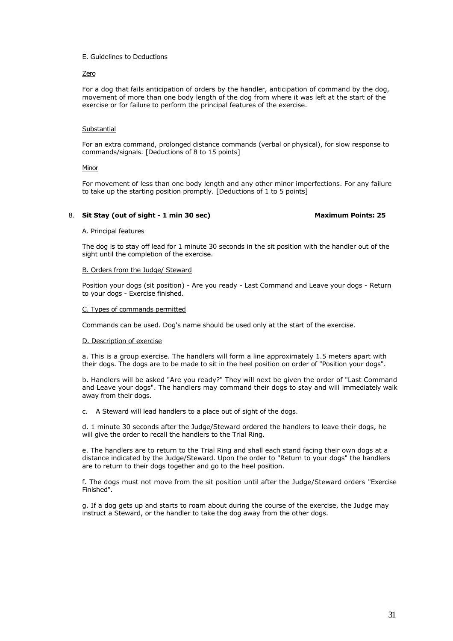## Zero

For a dog that fails anticipation of orders by the handler, anticipation of command by the dog, movement of more than one body length of the dog from where it was left at the start of the exercise or for failure to perform the principal features of the exercise.

## Substantial

For an extra command, prolonged distance commands (verbal or physical), for slow response to commands/signals. [Deductions of 8 to 15 points]

#### **Minor**

For movement of less than one body length and any other minor imperfections. For any failure to take up the starting position promptly. [Deductions of 1 to 5 points]

## 8. **Sit Stay (out of sight - 1 min 30 sec)** Maximum Points: 25

#### A. Principal features

The dog is to stay off lead for 1 minute 30 seconds in the sit position with the handler out of the sight until the completion of the exercise.

## B. Orders from the Judge/ Steward

Position your dogs (sit position) - Are you ready - Last Command and Leave your dogs - Return to your dogs - Exercise finished.

## C. Types of commands permitted

Commands can be used. Dog's name should be used only at the start of the exercise.

#### D. Description of exercise

a. This is a group exercise. The handlers will form a line approximately 1.5 meters apart with their dogs. The dogs are to be made to sit in the heel position on order of "Position your dogs".

b. Handlers will be asked "Are you ready?" They will next be given the order of "Last Command and Leave your dogs". The handlers may command their dogs to stay and will immediately walk away from their dogs.

c. A Steward will lead handlers to a place out of sight of the dogs.

d. 1 minute 30 seconds after the Judge/Steward ordered the handlers to leave their dogs, he will give the order to recall the handlers to the Trial Ring.

e. The handlers are to return to the Trial Ring and shall each stand facing their own dogs at a distance indicated by the Judge/Steward. Upon the order to "Return to your dogs" the handlers are to return to their dogs together and go to the heel position.

f. The dogs must not move from the sit position until after the Judge/Steward orders "Exercise Finished".

g. If a dog gets up and starts to roam about during the course of the exercise, the Judge may instruct a Steward, or the handler to take the dog away from the other dogs.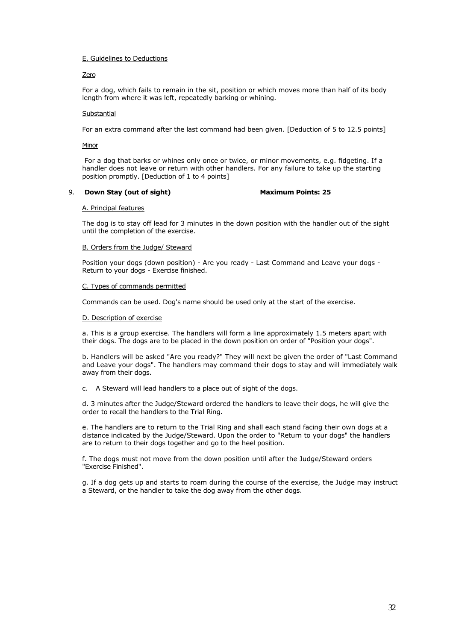## Zero

For a dog, which fails to remain in the sit, position or which moves more than half of its body length from where it was left, repeatedly barking or whining.

## **Substantial**

For an extra command after the last command had been given. [Deduction of 5 to 12.5 points]

## Minor

For a dog that barks or whines only once or twice, or minor movements, e.g. fidgeting. If a handler does not leave or return with other handlers. For any failure to take up the starting position promptly. [Deduction of 1 to 4 points]

#### 9. **Down Stay (out of sight)** Maximum Points: 25

#### A. Principal features

The dog is to stay off lead for 3 minutes in the down position with the handler out of the sight until the completion of the exercise.

## B. Orders from the Judge/ Steward

Position your dogs (down position) - Are you ready - Last Command and Leave your dogs - Return to your dogs - Exercise finished.

## C. Types of commands permitted

Commands can be used. Dog's name should be used only at the start of the exercise.

## D. Description of exercise

a. This is a group exercise. The handlers will form a line approximately 1.5 meters apart with their dogs. The dogs are to be placed in the down position on order of "Position your dogs".

b. Handlers will be asked "Are you ready?" They will next be given the order of "Last Command and Leave your dogs". The handlers may command their dogs to stay and will immediately walk away from their dogs.

c. A Steward will lead handlers to a place out of sight of the dogs.

d. 3 minutes after the Judge/Steward ordered the handlers to leave their dogs, he will give the order to recall the handlers to the Trial Ring.

e. The handlers are to return to the Trial Ring and shall each stand facing their own dogs at a distance indicated by the Judge/Steward. Upon the order to "Return to your dogs" the handlers are to return to their dogs together and go to the heel position.

f. The dogs must not move from the down position until after the Judge/Steward orders "Exercise Finished".

g. If a dog gets up and starts to roam during the course of the exercise, the Judge may instruct a Steward, or the handler to take the dog away from the other dogs.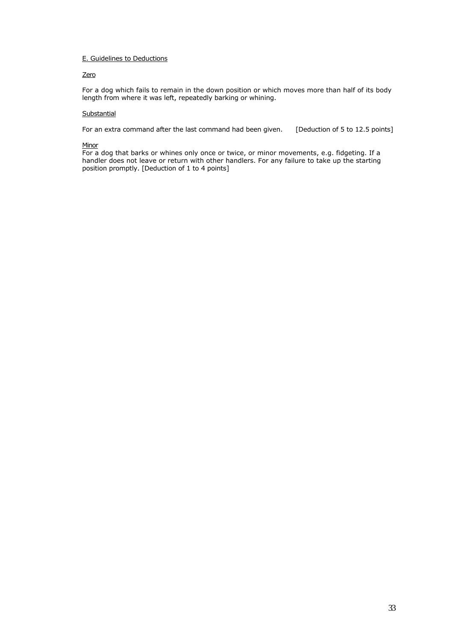## Zero

For a dog which fails to remain in the down position or which moves more than half of its body length from where it was left, repeatedly barking or whining.

## **Substantial**

For an extra command after the last command had been given. [Deduction of 5 to 12.5 points]

#### **Minor**

For a dog that barks or whines only once or twice, or minor movements, e.g. fidgeting. If a handler does not leave or return with other handlers. For any failure to take up the starting position promptly. [Deduction of 1 to 4 points]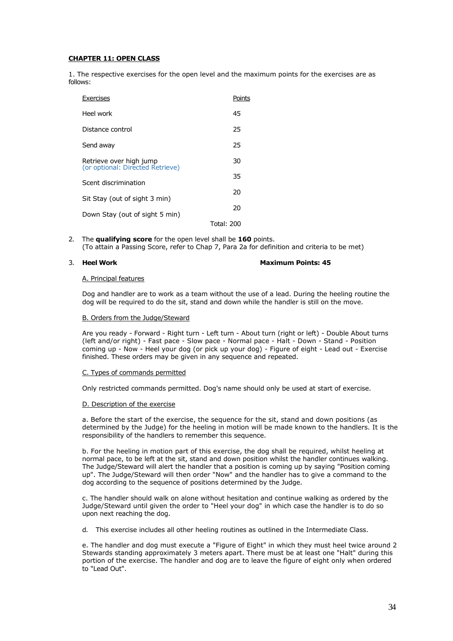## **CHAPTER 11: OPEN CLASS**

1. The respective exercises for the open level and the maximum points for the exercises are as follows:

| Exercises                                                   | Points     |
|-------------------------------------------------------------|------------|
| Heel work                                                   | 45         |
| Distance control                                            | 25         |
| Send away                                                   | 25         |
| Retrieve over high jump<br>(or optional: Directed Retrieve) | 30         |
| Scent discrimination                                        | 35         |
| Sit Stay (out of sight 3 min)                               | 20         |
| Down Stay (out of sight 5 min)                              |            |
|                                                             | Total: 200 |

2. The **qualifying score** for the open level shall be **160** points. (To attain a Passing Score, refer to Chap 7, Para 2a for definition and criteria to be met)

## 3. **Heel Work <b>Maximum Points: 45 Maximum Points: 45**

#### A. Principal features

Dog and handler are to work as a team without the use of a lead. During the heeling routine the dog will be required to do the sit, stand and down while the handler is still on the move.

#### B. Orders from the Judge/Steward

Are you ready - Forward - Right turn - Left turn - About turn (right or left) - Double About turns (left and/or right) - Fast pace - Slow pace - Normal pace - Halt - Down - Stand - Position coming up - Now - Heel your dog (or pick up your dog) - Figure of eight - Lead out - Exercise finished. These orders may be given in any sequence and repeated.

#### C. Types of commands permitted

Only restricted commands permitted. Dog's name should only be used at start of exercise.

#### D. Description of the exercise

a. Before the start of the exercise, the sequence for the sit, stand and down positions (as determined by the Judge) for the heeling in motion will be made known to the handlers. It is the responsibility of the handlers to remember this sequence.

b. For the heeling in motion part of this exercise, the dog shall be required, whilst heeling at normal pace, to be left at the sit, stand and down position whilst the handler continues walking. The Judge/Steward will alert the handler that a position is coming up by saying "Position coming up". The Judge/Steward will then order "Now" and the handler has to give a command to the dog according to the sequence of positions determined by the Judge.

c. The handler should walk on alone without hesitation and continue walking as ordered by the Judge/Steward until given the order to "Heel your dog" in which case the handler is to do so upon next reaching the dog.

d. This exercise includes all other heeling routines as outlined in the Intermediate Class.

e. The handler and dog must execute a "Figure of Eight" in which they must heel twice around 2 Stewards standing approximately 3 meters apart. There must be at least one "Halt" during this portion of the exercise. The handler and dog are to leave the figure of eight only when ordered to "Lead Out".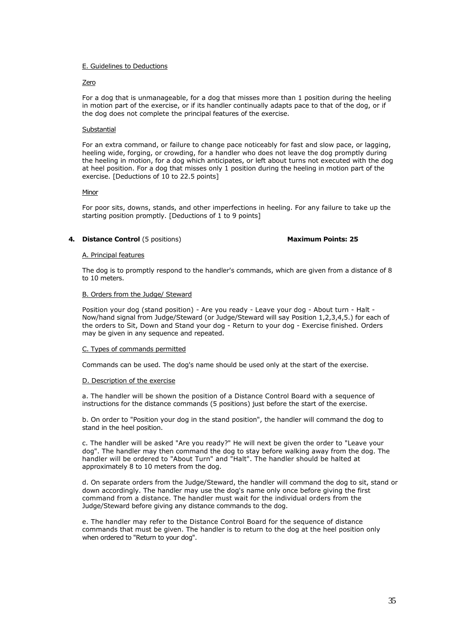#### Zero

For a dog that is unmanageable, for a dog that misses more than 1 position during the heeling in motion part of the exercise, or if its handler continually adapts pace to that of the dog, or if the dog does not complete the principal features of the exercise.

## **Substantial**

For an extra command, or failure to change pace noticeably for fast and slow pace, or lagging, heeling wide, forging, or crowding, for a handler who does not leave the dog promptly during the heeling in motion, for a dog which anticipates, or left about turns not executed with the dog at heel position. For a dog that misses only 1 position during the heeling in motion part of the exercise. [Deductions of 10 to 22.5 points]

#### Minor

For poor sits, downs, stands, and other imperfections in heeling. For any failure to take up the starting position promptly. [Deductions of 1 to 9 points]

## **4. Distance Control** (5 positions) **Maximum Points: 25**

#### A. Principal features

The dog is to promptly respond to the handler's commands, which are given from a distance of 8 to 10 meters.

#### B. Orders from the Judge/ Steward

Position your dog (stand position) - Are you ready - Leave your dog - About turn - Halt - Now/hand signal from Judge/Steward (or Judge/Steward will say Position 1,2,3,4,5.) for each of the orders to Sit, Down and Stand your dog - Return to your dog - Exercise finished. Orders may be given in any sequence and repeated.

#### C. Types of commands permitted

Commands can be used. The dog's name should be used only at the start of the exercise.

#### D. Description of the exercise

a. The handler will be shown the position of a Distance Control Board with a sequence of instructions for the distance commands (5 positions) just before the start of the exercise.

b. On order to "Position your dog in the stand position", the handler will command the dog to stand in the heel position.

c. The handler will be asked "Are you ready?" He will next be given the order to "Leave your dog". The handler may then command the dog to stay before walking away from the dog. The handler will be ordered to "About Turn" and "Halt". The handler should be halted at approximately 8 to 10 meters from the dog.

d. On separate orders from the Judge/Steward, the handler will command the dog to sit, stand or down accordingly. The handler may use the dog's name only once before giving the first command from a distance. The handler must wait for the individual orders from the Judge/Steward before giving any distance commands to the dog.

e. The handler may refer to the Distance Control Board for the sequence of distance commands that must be given. The handler is to return to the dog at the heel position only when ordered to "Return to your dog".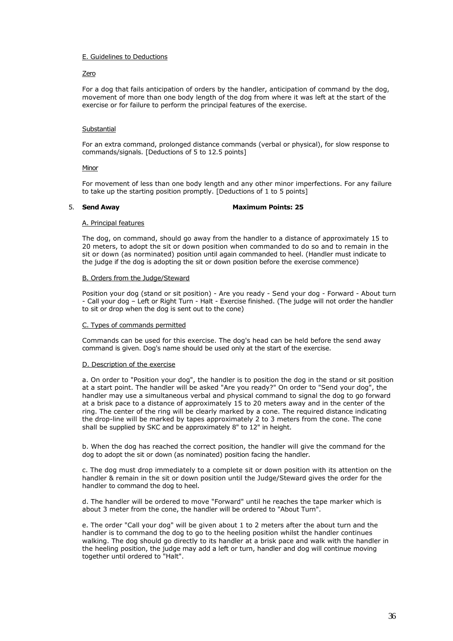## Zero

For a dog that fails anticipation of orders by the handler, anticipation of command by the dog, movement of more than one body length of the dog from where it was left at the start of the exercise or for failure to perform the principal features of the exercise.

## Substantial

For an extra command, prolonged distance commands (verbal or physical), for slow response to commands/signals. [Deductions of 5 to 12.5 points]

#### **Minor**

For movement of less than one body length and any other minor imperfections. For any failure to take up the starting position promptly. [Deductions of 1 to 5 points]

#### 5. **Send Away Maximum Points: 25**

#### A. Principal features

The dog, on command, should go away from the handler to a distance of approximately 15 to 20 meters, to adopt the sit or down position when commanded to do so and to remain in the sit or down (as norminated) position until again commanded to heel. (Handler must indicate to the judge if the dog is adopting the sit or down position before the exercise commence)

#### B. Orders from the Judge/Steward

Position your dog (stand or sit position) - Are you ready - Send your dog - Forward - About turn - Call your dog – Left or Right Turn - Halt - Exercise finished. (The judge will not order the handler to sit or drop when the dog is sent out to the cone)

## C. Types of commands permitted

Commands can be used for this exercise. The dog's head can be held before the send away command is given. Dog's name should be used only at the start of the exercise.

## D. Description of the exercise

a. On order to "Position your dog", the handler is to position the dog in the stand or sit position at a start point. The handler will be asked "Are you ready?" On order to "Send your dog", the handler may use a simultaneous verbal and physical command to signal the dog to go forward at a brisk pace to a distance of approximately 15 to 20 meters away and in the center of the ring. The center of the ring will be clearly marked by a cone. The required distance indicating the drop-line will be marked by tapes approximately 2 to 3 meters from the cone. The cone shall be supplied by SKC and be approximately 8" to 12" in height.

b. When the dog has reached the correct position, the handler will give the command for the dog to adopt the sit or down (as nominated) position facing the handler.

c. The dog must drop immediately to a complete sit or down position with its attention on the handler & remain in the sit or down position until the Judge/Steward gives the order for the handler to command the dog to heel.

d. The handler will be ordered to move "Forward" until he reaches the tape marker which is about 3 meter from the cone, the handler will be ordered to "About Turn".

e. The order "Call your dog" will be given about 1 to 2 meters after the about turn and the handler is to command the dog to go to the heeling position whilst the handler continues walking. The dog should go directly to its handler at a brisk pace and walk with the handler in the heeling position, the judge may add a left or turn, handler and dog will continue moving together until ordered to "Halt".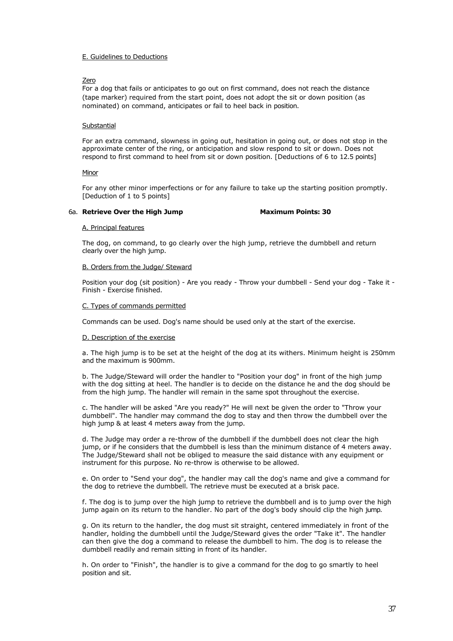## Zero

For a dog that fails or anticipates to go out on first command, does not reach the distance (tape marker) required from the start point, does not adopt the sit or down position (as nominated) on command, anticipates or fail to heel back in position.

## Substantial

For an extra command, slowness in going out, hesitation in going out, or does not stop in the approximate center of the ring, or anticipation and slow respond to sit or down. Does not respond to first command to heel from sit or down position. [Deductions of 6 to 12.5 points]

## Minor

For any other minor imperfections or for any failure to take up the starting position promptly. [Deduction of 1 to 5 points]

## 6a. **Retrieve Over the High Jump Maximum Points: 30**

#### A. Principal features

The dog, on command, to go clearly over the high jump, retrieve the dumbbell and return clearly over the high jump.

## B. Orders from the Judge/ Steward

Position your dog (sit position) - Are you ready - Throw your dumbbell - Send your dog - Take it - Finish - Exercise finished.

#### C. Types of commands permitted

Commands can be used. Dog's name should be used only at the start of the exercise.

## D. Description of the exercise

a. The high jump is to be set at the height of the dog at its withers. Minimum height is 250mm and the maximum is 900mm.

b. The Judge/Steward will order the handler to "Position your dog" in front of the high jump with the dog sitting at heel. The handler is to decide on the distance he and the dog should be from the high jump. The handler will remain in the same spot throughout the exercise.

c. The handler will be asked "Are you ready?" He will next be given the order to "Throw your dumbbell". The handler may command the dog to stay and then throw the dumbbell over the high jump & at least 4 meters away from the jump.

d. The Judge may order a re-throw of the dumbbell if the dumbbell does not clear the high jump, or if he considers that the dumbbell is less than the minimum distance of 4 meters away. The Judge/Steward shall not be obliged to measure the said distance with any equipment or instrument for this purpose. No re-throw is otherwise to be allowed.

e. On order to "Send your dog", the handler may call the dog's name and give a command for the dog to retrieve the dumbbell. The retrieve must be executed at a brisk pace.

f. The dog is to jump over the high jump to retrieve the dumbbell and is to jump over the high jump again on its return to the handler. No part of the dog's body should clip the high jump.

g. On its return to the handler, the dog must sit straight, centered immediately in front of the handler, holding the dumbbell until the Judge/Steward gives the order "Take it". The handler can then give the dog a command to release the dumbbell to him. The dog is to release the dumbbell readily and remain sitting in front of its handler.

h. On order to "Finish", the handler is to give a command for the dog to go smartly to heel position and sit.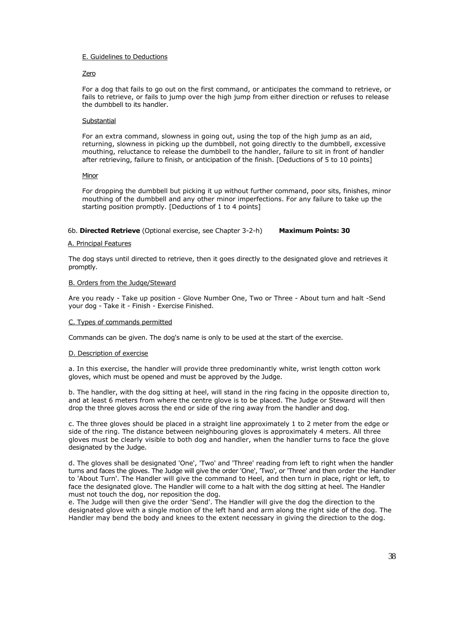## Zero

For a dog that fails to go out on the first command, or anticipates the command to retrieve, or fails to retrieve, or fails to jump over the high jump from either direction or refuses to release the dumbbell to its handler.

#### **Substantial**

For an extra command, slowness in going out, using the top of the high jump as an aid, returning, slowness in picking up the dumbbell, not going directly to the dumbbell, excessive mouthing, reluctance to release the dumbbell to the handler, failure to sit in front of handler after retrieving, failure to finish, or anticipation of the finish. [Deductions of 5 to 10 points]

#### **Minor**

For dropping the dumbbell but picking it up without further command, poor sits, finishes, minor mouthing of the dumbbell and any other minor imperfections. For any failure to take up the starting position promptly. [Deductions of 1 to 4 points]

## 6b. **Directed Retrieve** (Optional exercise, see Chapter 3-2-h) **Maximum Points: 30**

#### A. Principal Features

The dog stays until directed to retrieve, then it goes directly to the designated glove and retrieves it promptly.

#### B. Orders from the Judge/Steward

Are you ready - Take up position - Glove Number One, Two or Three - About turn and halt -Send your dog - Take it - Finish - Exercise Finished.

#### C. Types of commands permitted

Commands can be given. The dog's name is only to be used at the start of the exercise.

## D. Description of exercise

a. In this exercise, the handler will provide three predominantly white, wrist length cotton work gloves, which must be opened and must be approved by the Judge.

b. The handler, with the dog sitting at heel, will stand in the ring facing in the opposite direction to, and at least 6 meters from where the centre glove is to be placed. The Judge or Steward will then drop the three gloves across the end or side of the ring away from the handler and dog.

c. The three gloves should be placed in a straight line approximately 1 to 2 meter from the edge or side of the ring. The distance between neighbouring gloves is approximately 4 meters. All three gloves must be clearly visible to both dog and handler, when the handler turns to face the glove designated by the Judge.

d. The gloves shall be designated 'One', 'Two' and 'Three' reading from left to right when the handler turns and faces the gloves. The Judge will give the order 'One', 'Two', or 'Three' and then order the Handler to 'About Turn'. The Handler will give the command to Heel, and then turn in place, right or left, to face the designated glove. The Handler will come to a halt with the dog sitting at heel. The Handler must not touch the dog, nor reposition the dog.

e. The Judge will then give the order 'Send'. The Handler will give the dog the direction to the designated glove with a single motion of the left hand and arm along the right side of the dog. The Handler may bend the body and knees to the extent necessary in giving the direction to the dog.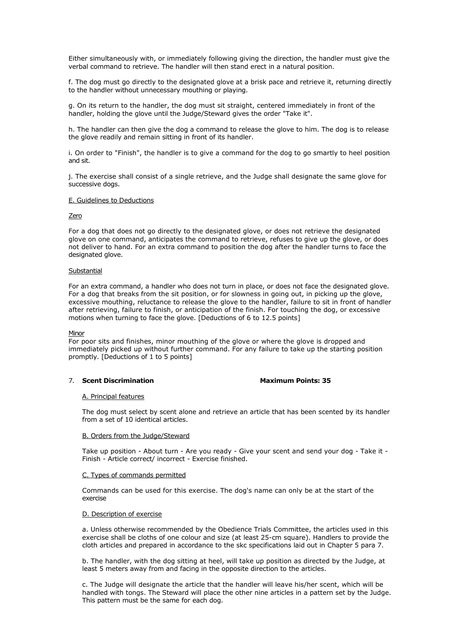Either simultaneously with, or immediately following giving the direction, the handler must give the verbal command to retrieve. The handler will then stand erect in a natural position.

f. The dog must go directly to the designated glove at a brisk pace and retrieve it, returning directly to the handler without unnecessary mouthing or playing.

g. On its return to the handler, the dog must sit straight, centered immediately in front of the handler, holding the glove until the Judge/Steward gives the order "Take it".

h. The handler can then give the dog a command to release the glove to him. The dog is to release the glove readily and remain sitting in front of its handler.

i. On order to "Finish", the handler is to give a command for the dog to go smartly to heel position and sit.

j. The exercise shall consist of a single retrieve, and the Judge shall designate the same glove for successive dogs.

#### E. Guidelines to Deductions

#### Zero

For a dog that does not go directly to the designated glove, or does not retrieve the designated glove on one command, anticipates the command to retrieve, refuses to give up the glove, or does not deliver to hand. For an extra command to position the dog after the handler turns to face the designated glove.

## **Substantial**

For an extra command, a handler who does not turn in place, or does not face the designated glove. For a dog that breaks from the sit position, or for slowness in going out, in picking up the glove, excessive mouthing, reluctance to release the glove to the handler, failure to sit in front of handler after retrieving, failure to finish, or anticipation of the finish. For touching the dog, or excessive motions when turning to face the glove. [Deductions of 6 to 12.5 points]

## Minor

For poor sits and finishes, minor mouthing of the glove or where the glove is dropped and immediately picked up without further command. For any failure to take up the starting position promptly. [Deductions of 1 to 5 points]

## 7. **Scent Discrimination Maximum Points: 35**

#### A. Principal features

The dog must select by scent alone and retrieve an article that has been scented by its handler from a set of 10 identical articles.

#### B. Orders from the Judge/Steward

Take up position - About turn - Are you ready - Give your scent and send your dog - Take it - Finish - Article correct/ incorrect - Exercise finished.

## C. Types of commands permitted

Commands can be used for this exercise. The dog's name can only be at the start of the exercise

#### D. Description of exercise

a. Unless otherwise recommended by the Obedience Trials Committee, the articles used in this exercise shall be cloths of one colour and size (at least 25-cm square). Handlers to provide the cloth articles and prepared in accordance to the skc specifications laid out in Chapter 5 para 7.

b. The handler, with the dog sitting at heel, will take up position as directed by the Judge, at least 5 meters away from and facing in the opposite direction to the articles.

c. The Judge will designate the article that the handler will leave his/her scent, which will be handled with tongs. The Steward will place the other nine articles in a pattern set by the Judge. This pattern must be the same for each dog.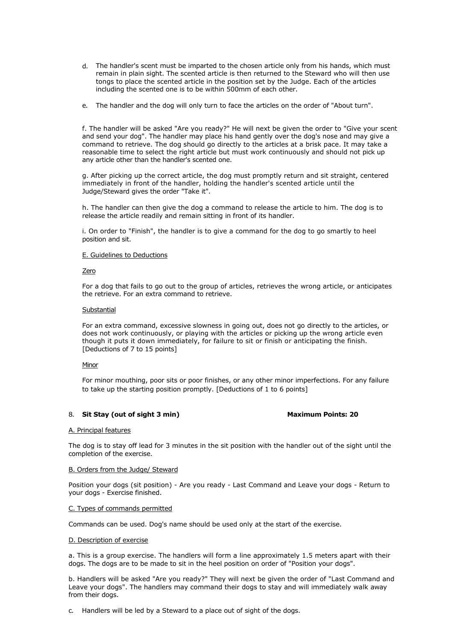- d. The handler's scent must be imparted to the chosen article only from his hands, which must remain in plain sight. The scented article is then returned to the Steward who will then use tongs to place the scented article in the position set by the Judge. Each of the articles including the scented one is to be within 500mm of each other.
- e. The handler and the dog will only turn to face the articles on the order of "About turn".

f. The handler will be asked "Are you ready?" He will next be given the order to "Give your scent and send your dog". The handler may place his hand gently over the dog's nose and may give a command to retrieve. The dog should go directly to the articles at a brisk pace. It may take a reasonable time to select the right article but must work continuously and should not pick up any article other than the handler's scented one.

g. After picking up the correct article, the dog must promptly return and sit straight, centered immediately in front of the handler, holding the handler's scented article until the Judge/Steward gives the order "Take it".

h. The handler can then give the dog a command to release the article to him. The dog is to release the article readily and remain sitting in front of its handler.

i. On order to "Finish", the handler is to give a command for the dog to go smartly to heel position and sit.

#### E. Guidelines to Deductions

#### Zero

For a dog that fails to go out to the group of articles, retrieves the wrong article, or anticipates the retrieve. For an extra command to retrieve.

#### Substantial

For an extra command, excessive slowness in going out, does not go directly to the articles, or does not work continuously, or playing with the articles or picking up the wrong article even though it puts it down immediately, for failure to sit or finish or anticipating the finish. [Deductions of 7 to 15 points]

#### Minor

For minor mouthing, poor sits or poor finishes, or any other minor imperfections. For any failure to take up the starting position promptly. [Deductions of 1 to 6 points]

## 8. **Sit Stay (out of sight 3 min)** Maximum Points: 20

#### A. Principal features

The dog is to stay off lead for 3 minutes in the sit position with the handler out of the sight until the completion of the exercise.

#### B. Orders from the Judge/ Steward

Position your dogs (sit position) - Are you ready - Last Command and Leave your dogs - Return to your dogs - Exercise finished.

#### C. Types of commands permitted

Commands can be used. Dog's name should be used only at the start of the exercise.

#### D. Description of exercise

a. This is a group exercise. The handlers will form a line approximately 1.5 meters apart with their dogs. The dogs are to be made to sit in the heel position on order of "Position your dogs".

b. Handlers will be asked "Are you ready?" They will next be given the order of "Last Command and Leave your dogs". The handlers may command their dogs to stay and will immediately walk away from their dogs.

c. Handlers will be led by a Steward to a place out of sight of the dogs.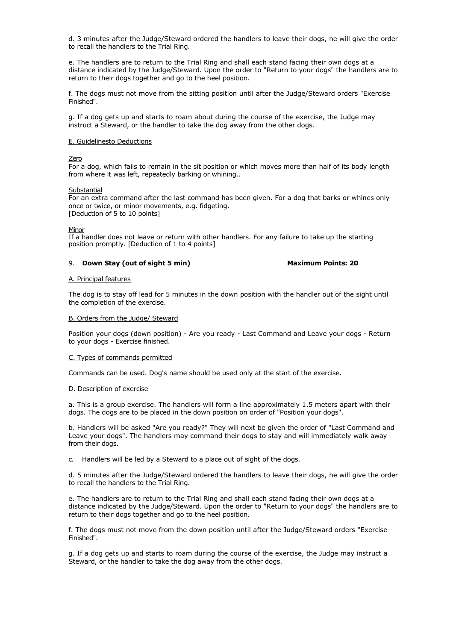d. 3 minutes after the Judge/Steward ordered the handlers to leave their dogs, he will give the order to recall the handlers to the Trial Ring.

e. The handlers are to return to the Trial Ring and shall each stand facing their own dogs at a distance indicated by the Judge/Steward. Upon the order to "Return to your dogs" the handlers are to return to their dogs together and go to the heel position.

f. The dogs must not move from the sitting position until after the Judge/Steward orders "Exercise Finished".

g. If a dog gets up and starts to roam about during the course of the exercise, the Judge may instruct a Steward, or the handler to take the dog away from the other dogs.

#### E. Guidelinesto Deductions

#### Zero

For a dog, which fails to remain in the sit position or which moves more than half of its body length from where it was left, repeatedly barking or whining..

#### Substantial

For an extra command after the last command has been given. For a dog that barks or whines only once or twice, or minor movements, e.g. fidgeting. [Deduction of 5 to 10 points]

#### **Minor**

If a handler does not leave or return with other handlers. For any failure to take up the starting position promptly. [Deduction of 1 to 4 points]

9. **Down Stay (out of sight 5 min)** Maximum Points: 20

#### A. Principal features

The dog is to stay off lead for 5 minutes in the down position with the handler out of the sight until the completion of the exercise.

#### B. Orders from the Judge/ Steward

Position your dogs (down position) - Are you ready - Last Command and Leave your dogs - Return to your dogs - Exercise finished.

#### C. Types of commands permitted

Commands can be used. Dog's name should be used only at the start of the exercise.

#### D. Description of exercise

a. This is a group exercise. The handlers will form a line approximately 1.5 meters apart with their dogs. The dogs are to be placed in the down position on order of "Position your dogs".

b. Handlers will be asked "Are you ready?" They will next be given the order of "Last Command and Leave your dogs". The handlers may command their dogs to stay and will immediately walk away from their dogs.

c. Handlers will be led by a Steward to a place out of sight of the dogs.

d. 5 minutes after the Judge/Steward ordered the handlers to leave their dogs, he will give the order to recall the handlers to the Trial Ring.

e. The handlers are to return to the Trial Ring and shall each stand facing their own dogs at a distance indicated by the Judge/Steward. Upon the order to "Return to your dogs" the handlers are to return to their dogs together and go to the heel position.

f. The dogs must not move from the down position until after the Judge/Steward orders "Exercise Finished".

g. If a dog gets up and starts to roam during the course of the exercise, the Judge may instruct a Steward, or the handler to take the dog away from the other dogs.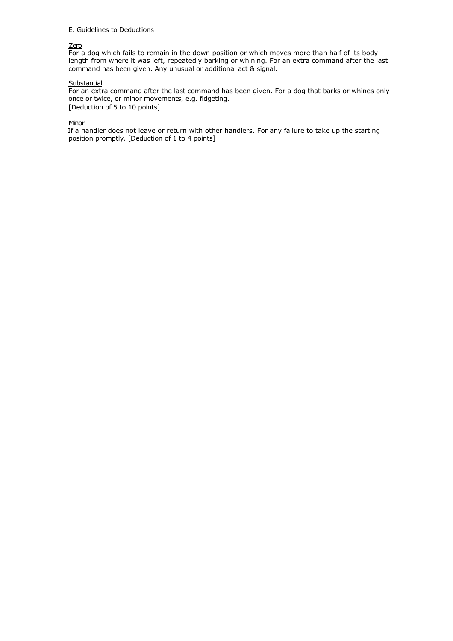## <u>Zero</u>

For a dog which fails to remain in the down position or which moves more than half of its body length from where it was left, repeatedly barking or whining. For an extra command after the last command has been given. Any unusual or additional act & signal.

## <u>Substantial</u>

For an extra command after the last command has been given. For a dog that barks or whines only once or twice, or minor movements, e.g. fidgeting. [Deduction of 5 to 10 points]

## <u>Minor</u>

If a handler does not leave or return with other handlers. For any failure to take up the starting position promptly. [Deduction of 1 to 4 points]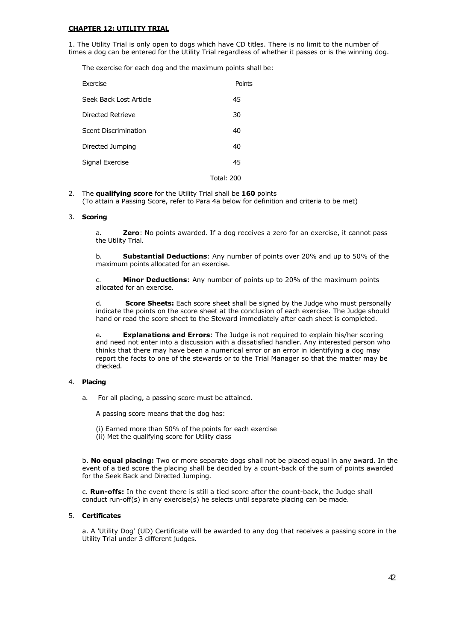## **CHAPTER 12: UTILITY TRIAL**

1. The Utility Trial is only open to dogs which have CD titles. There is no limit to the number of times a dog can be entered for the Utility Trial regardless of whether it passes or is the winning dog.

The exercise for each dog and the maximum points shall be:

| Exercise                    | Points     |
|-----------------------------|------------|
| Seek Back Lost Article      | 45         |
| Directed Retrieve           | 30         |
| <b>Scent Discrimination</b> | 40         |
| Directed Jumping            | 40         |
| Signal Exercise             | 45         |
|                             | Total: 200 |

2. The **qualifying score** for the Utility Trial shall be **160** points (To attain a Passing Score, refer to Para 4a below for definition and criteria to be met)

## 3. **Scoring**

a. **Zero**: No points awarded. If a dog receives a zero for an exercise, it cannot pass the Utility Trial.

b. **Substantial Deductions**: Any number of points over 20% and up to 50% of the maximum points allocated for an exercise.

c. **Minor Deductions**: Any number of points up to 20% of the maximum points allocated for an exercise.

d. **Score Sheets:** Each score sheet shall be signed by the Judge who must personally indicate the points on the score sheet at the conclusion of each exercise. The Judge should hand or read the score sheet to the Steward immediately after each sheet is completed.

e. **Explanations and Errors**: The Judge is not required to explain his/her scoring and need not enter into a discussion with a dissatisfied handler. Any interested person who thinks that there may have been a numerical error or an error in identifying a dog may report the facts to one of the stewards or to the Trial Manager so that the matter may be checked.

## 4. **Placing**

a. For all placing, a passing score must be attained.

A passing score means that the dog has:

- (i) Earned more than 50% of the points for each exercise
- (ii) Met the qualifying score for Utility class

b. **No equal placing:** Two or more separate dogs shall not be placed equal in any award. In the event of a tied score the placing shall be decided by a count-back of the sum of points awarded for the Seek Back and Directed Jumping.

c. **Run-offs:** In the event there is still a tied score after the count-back, the Judge shall conduct run-off(s) in any exercise(s) he selects until separate placing can be made.

## 5. **Certificates**

a. A 'Utility Dog' (UD) Certificate will be awarded to any dog that receives a passing score in the Utility Trial under 3 different judges.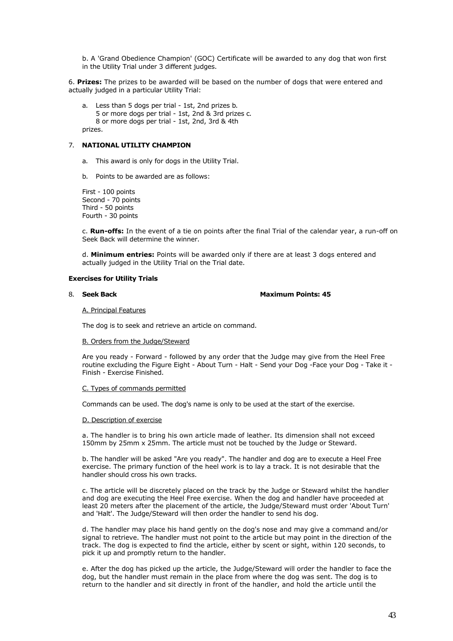b. A 'Grand Obedience Champion' (GOC) Certificate will be awarded to any dog that won first in the Utility Trial under 3 different judges.

6. **Prizes:** The prizes to be awarded will be based on the number of dogs that were entered and actually judged in a particular Utility Trial:

a. Less than 5 dogs per trial - 1st, 2nd prizes b. 5 or more dogs per trial - 1st, 2nd & 3rd prizes c. 8 or more dogs per trial - 1st, 2nd, 3rd & 4th prizes.

## 7. **NATIONAL UTILITY CHAMPION**

- a. This award is only for dogs in the Utility Trial.
- b. Points to be awarded are as follows:

First - 100 points Second - 70 points Third - 50 points Fourth - 30 points

c. **Run-offs:** In the event of a tie on points after the final Trial of the calendar year, a run-off on Seek Back will determine the winner.

d. **Minimum entries:** Points will be awarded only if there are at least 3 dogs entered and actually judged in the Utility Trial on the Trial date.

#### **Exercises for Utility Trials**

## 8. Seek Back **Maximum Points: 45 Maximum Points: 45**

A. Principal Features

The dog is to seek and retrieve an article on command.

#### B. Orders from the Judge/Steward

Are you ready - Forward - followed by any order that the Judge may give from the Heel Free routine excluding the Figure Eight - About Turn - Halt - Send your Dog -Face your Dog - Take it - Finish - Exercise Finished.

#### C. Types of commands permitted

Commands can be used. The dog's name is only to be used at the start of the exercise.

#### D. Description of exercise

a. The handler is to bring his own article made of leather. Its dimension shall not exceed 150mm by 25mm x 25mm. The article must not be touched by the Judge or Steward.

b. The handler will be asked "Are you ready". The handler and dog are to execute a Heel Free exercise. The primary function of the heel work is to lay a track. It is not desirable that the handler should cross his own tracks.

c. The article will be discretely placed on the track by the Judge or Steward whilst the handler and dog are executing the Heel Free exercise. When the dog and handler have proceeded at least 20 meters after the placement of the article, the Judge/Steward must order 'About Turn' and 'Halt'. The Judge/Steward will then order the handler to send his dog.

d. The handler may place his hand gently on the dog's nose and may give a command and/or signal to retrieve. The handler must not point to the article but may point in the direction of the track. The dog is expected to find the article, either by scent or sight, within 120 seconds, to pick it up and promptly return to the handler.

e. After the dog has picked up the article, the Judge/Steward will order the handler to face the dog, but the handler must remain in the place from where the dog was sent. The dog is to return to the handler and sit directly in front of the handler, and hold the article until the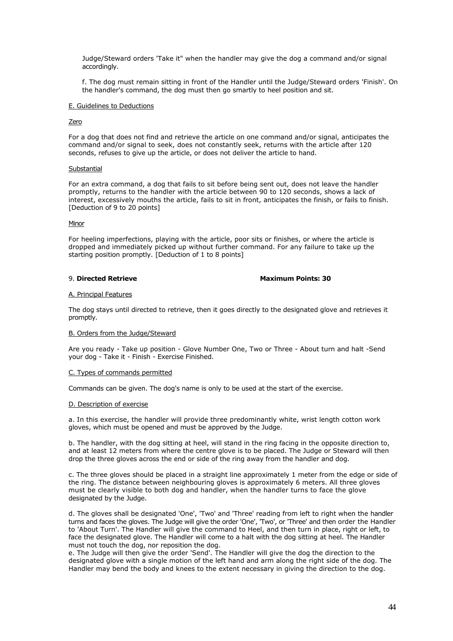Judge/Steward orders 'Take it" when the handler may give the dog a command and/or signal accordingly.

f. The dog must remain sitting in front of the Handler until the Judge/Steward orders 'Finish'. On the handler's command, the dog must then go smartly to heel position and sit.

## E. Guidelines to Deductions

## Zero

For a dog that does not find and retrieve the article on one command and/or signal, anticipates the command and/or signal to seek, does not constantly seek, returns with the article after 120 seconds, refuses to give up the article, or does not deliver the article to hand.

#### **Substantial**

For an extra command, a dog that fails to sit before being sent out, does not leave the handler promptly, returns to the handler with the article between 90 to 120 seconds, shows a lack of interest, excessively mouths the article, fails to sit in front, anticipates the finish, or fails to finish. [Deduction of 9 to 20 points]

#### Minor

For heeling imperfections, playing with the article, poor sits or finishes, or where the article is dropped and immediately picked up without further command. For any failure to take up the starting position promptly. [Deduction of 1 to 8 points]

#### 9. **Directed Retrieve Maximum Points: 30**

#### A. Principal Features

The dog stays until directed to retrieve, then it goes directly to the designated glove and retrieves it promptly.

## B. Orders from the Judge/Steward

Are you ready - Take up position - Glove Number One, Two or Three - About turn and halt -Send your dog - Take it - Finish - Exercise Finished.

## C. Types of commands permitted

Commands can be given. The dog's name is only to be used at the start of the exercise.

## D. Description of exercise

a. In this exercise, the handler will provide three predominantly white, wrist length cotton work gloves, which must be opened and must be approved by the Judge.

b. The handler, with the dog sitting at heel, will stand in the ring facing in the opposite direction to, and at least 12 meters from where the centre glove is to be placed. The Judge or Steward will then drop the three gloves across the end or side of the ring away from the handler and dog.

c. The three gloves should be placed in a straight line approximately 1 meter from the edge or side of the ring. The distance between neighbouring gloves is approximately 6 meters. All three gloves must be clearly visible to both dog and handler, when the handler turns to face the glove designated by the Judge.

d. The gloves shall be designated 'One', 'Two' and 'Three' reading from left to right when the handler turns and faces the gloves. The Judge will give the order 'One', 'Two', or 'Three' and then order the Handler to 'About Turn'. The Handler will give the command to Heel, and then turn in place, right or left, to face the designated glove. The Handler will come to a halt with the dog sitting at heel. The Handler must not touch the dog, nor reposition the dog.

e. The Judge will then give the order 'Send'. The Handler will give the dog the direction to the designated glove with a single motion of the left hand and arm along the right side of the dog. The Handler may bend the body and knees to the extent necessary in giving the direction to the dog.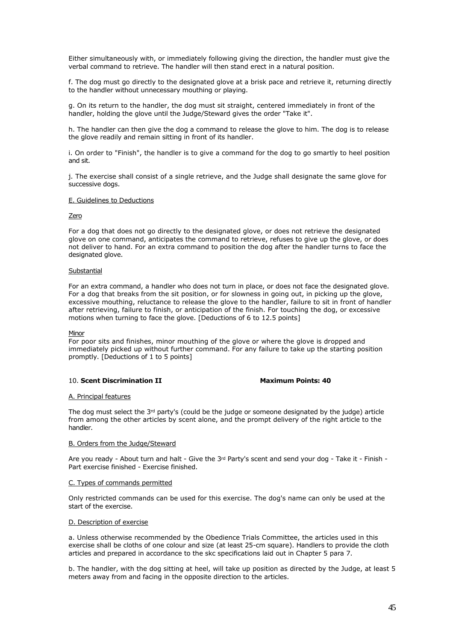Either simultaneously with, or immediately following giving the direction, the handler must give the verbal command to retrieve. The handler will then stand erect in a natural position.

f. The dog must go directly to the designated glove at a brisk pace and retrieve it, returning directly to the handler without unnecessary mouthing or playing.

g. On its return to the handler, the dog must sit straight, centered immediately in front of the handler, holding the glove until the Judge/Steward gives the order "Take it".

h. The handler can then give the dog a command to release the glove to him. The dog is to release the glove readily and remain sitting in front of its handler.

i. On order to "Finish", the handler is to give a command for the dog to go smartly to heel position and sit.

j. The exercise shall consist of a single retrieve, and the Judge shall designate the same glove for successive dogs.

#### E. Guidelines to Deductions

## Zero

For a dog that does not go directly to the designated glove, or does not retrieve the designated glove on one command, anticipates the command to retrieve, refuses to give up the glove, or does not deliver to hand. For an extra command to position the dog after the handler turns to face the designated glove.

## **Substantial**

For an extra command, a handler who does not turn in place, or does not face the designated glove. For a dog that breaks from the sit position, or for slowness in going out, in picking up the glove, excessive mouthing, reluctance to release the glove to the handler, failure to sit in front of handler after retrieving, failure to finish, or anticipation of the finish. For touching the dog, or excessive motions when turning to face the glove. [Deductions of 6 to 12.5 points]

## Minor

For poor sits and finishes, minor mouthing of the glove or where the glove is dropped and immediately picked up without further command. For any failure to take up the starting position promptly. [Deductions of 1 to 5 points]

## 10. **Scent Discrimination II Maximum Points: 40**

#### A. Principal features

The dog must select the  $3^{rd}$  party's (could be the judge or someone designated by the judge) article from among the other articles by scent alone, and the prompt delivery of the right article to the handler.

## B. Orders from the Judge/Steward

Are you ready - About turn and halt - Give the 3rd Party's scent and send your dog - Take it - Finish - Part exercise finished - Exercise finished.

#### C. Types of commands permitted

Only restricted commands can be used for this exercise. The dog's name can only be used at the start of the exercise.

## D. Description of exercise

a. Unless otherwise recommended by the Obedience Trials Committee, the articles used in this exercise shall be cloths of one colour and size (at least 25-cm square). Handlers to provide the cloth articles and prepared in accordance to the skc specifications laid out in Chapter 5 para 7.

b. The handler, with the dog sitting at heel, will take up position as directed by the Judge, at least 5 meters away from and facing in the opposite direction to the articles.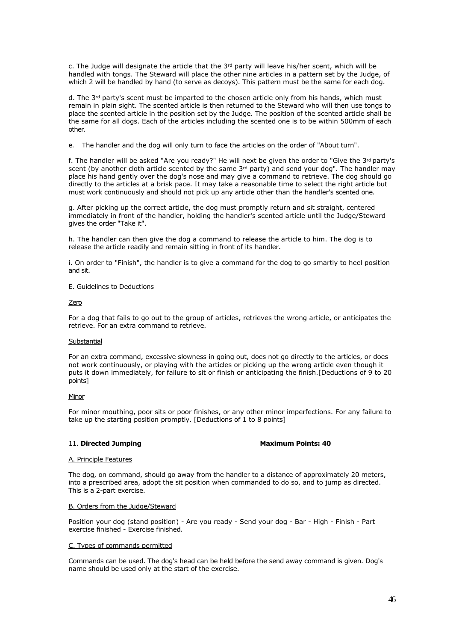c. The Judge will designate the article that the  $3<sup>rd</sup>$  party will leave his/her scent, which will be handled with tongs. The Steward will place the other nine articles in a pattern set by the Judge, of which 2 will be handled by hand (to serve as decoys). This pattern must be the same for each dog.

d. The 3<sup>rd</sup> party's scent must be imparted to the chosen article only from his hands, which must remain in plain sight. The scented article is then returned to the Steward who will then use tongs to place the scented article in the position set by the Judge. The position of the scented article shall be the same for all dogs. Each of the articles including the scented one is to be within 500mm of each other.

e. The handler and the dog will only turn to face the articles on the order of "About turn".

f. The handler will be asked "Are you ready?" He will next be given the order to "Give the 3rd party's scent (by another cloth article scented by the same  $3rd$  party) and send your dog". The handler may place his hand gently over the dog's nose and may give a command to retrieve. The dog should go directly to the articles at a brisk pace. It may take a reasonable time to select the right article but must work continuously and should not pick up any article other than the handler's scented one.

g. After picking up the correct article, the dog must promptly return and sit straight, centered immediately in front of the handler, holding the handler's scented article until the Judge/Steward gives the order "Take it".

h. The handler can then give the dog a command to release the article to him. The dog is to release the article readily and remain sitting in front of its handler.

i. On order to "Finish", the handler is to give a command for the dog to go smartly to heel position and sit.

## E. Guidelines to Deductions

## Zero

For a dog that fails to go out to the group of articles, retrieves the wrong article, or anticipates the retrieve. For an extra command to retrieve.

## **Substantial**

For an extra command, excessive slowness in going out, does not go directly to the articles, or does not work continuously, or playing with the articles or picking up the wrong article even though it puts it down immediately, for failure to sit or finish or anticipating the finish.[Deductions of 9 to 20 points]

## **Minor**

For minor mouthing, poor sits or poor finishes, or any other minor imperfections. For any failure to take up the starting position promptly. [Deductions of 1 to 8 points]

## 11. Directed Jumping **Maximum Points: 40**

## A. Principle Features

The dog, on command, should go away from the handler to a distance of approximately 20 meters, into a prescribed area, adopt the sit position when commanded to do so, and to jump as directed. This is a 2-part exercise.

## B. Orders from the Judge/Steward

Position your dog (stand position) - Are you ready - Send your dog - Bar - High - Finish - Part exercise finished - Exercise finished.

## C. Types of commands permitted

Commands can be used. The dog's head can be held before the send away command is given. Dog's name should be used only at the start of the exercise.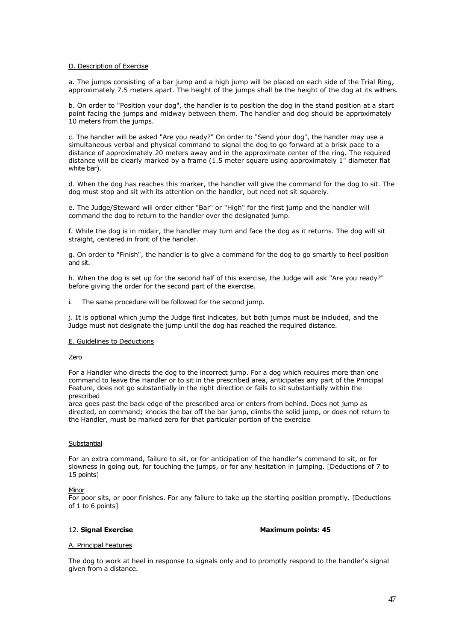#### D. Description of Exercise

a. The jumps consisting of a bar jump and a high jump will be placed on each side of the Trial Ring, approximately 7.5 meters apart. The height of the jumps shall be the height of the dog at its withers.

b. On order to "Position your dog", the handler is to position the dog in the stand position at a start point facing the jumps and midway between them. The handler and dog should be approximately 10 meters from the jumps.

c. The handler will be asked "Are you ready?" On order to "Send your dog", the handler may use a simultaneous verbal and physical command to signal the dog to go forward at a brisk pace to a distance of approximately 20 meters away and in the approximate center of the ring. The required distance will be clearly marked by a frame (1.5 meter square using approximately 1" diameter flat white bar).

d. When the dog has reaches this marker, the handler will give the command for the dog to sit. The dog must stop and sit with its attention on the handler, but need not sit squarely.

e. The Judge/Steward will order either "Bar" or "High" for the first jump and the handler will command the dog to return to the handler over the designated jump.

f. While the dog is in midair, the handler may turn and face the dog as it returns. The dog will sit straight, centered in front of the handler.

g. On order to "Finish", the handler is to give a command for the dog to go smartly to heel position and sit.

h. When the dog is set up for the second half of this exercise, the Judge will ask "Are you ready?" before giving the order for the second part of the exercise.

i. The same procedure will be followed for the second jump.

j. It is optional which jump the Judge first indicates, but both jumps must be included, and the Judge must not designate the jump until the dog has reached the required distance.

#### E. Guidelines to Deductions

Zero

For a Handler who directs the dog to the incorrect jump. For a dog which requires more than one command to leave the Handler or to sit in the prescribed area, anticipates any part of the Principal Feature, does not go substantially in the right direction or fails to sit substantially within the prescribed

area goes past the back edge of the prescribed area or enters from behind. Does not jump as directed, on command; knocks the bar off the bar jump, climbs the solid jump, or does not return to the Handler, must be marked zero for that particular portion of the exercise

## **Substantial**

For an extra command, failure to sit, or for anticipation of the handler's command to sit, or for slowness in going out, for touching the jumps, or for any hesitation in jumping. [Deductions of 7 to 15 points]

#### Minor

For poor sits, or poor finishes. For any failure to take up the starting position promptly. [Deductions of 1 to 6 points]

12. **Signal Exercise Maximum points: 45** 

#### A. Principal Features

The dog to work at heel in response to signals only and to promptly respond to the handler's signal given from a distance.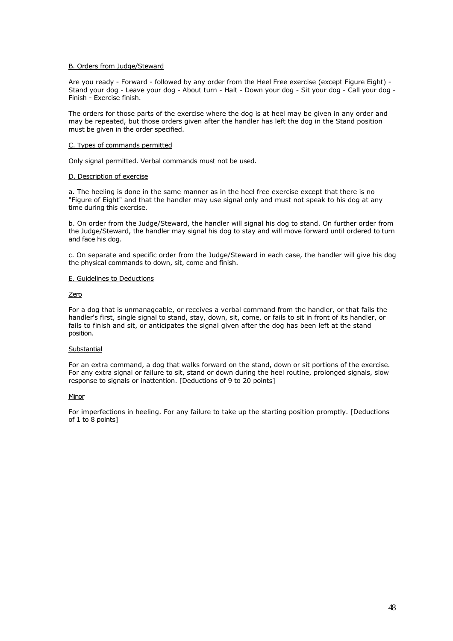#### B. Orders from Judge/Steward

Are you ready - Forward - followed by any order from the Heel Free exercise (except Figure Eight) - Stand your dog - Leave your dog - About turn - Halt - Down your dog - Sit your dog - Call your dog - Finish - Exercise finish.

The orders for those parts of the exercise where the dog is at heel may be given in any order and may be repeated, but those orders given after the handler has left the dog in the Stand position must be given in the order specified.

## C. Types of commands permitted

Only signal permitted. Verbal commands must not be used.

#### D. Description of exercise

a. The heeling is done in the same manner as in the heel free exercise except that there is no "Figure of Eight" and that the handler may use signal only and must not speak to his dog at any time during this exercise.

b. On order from the Judge/Steward, the handler will signal his dog to stand. On further order from the Judge/Steward, the handler may signal his dog to stay and will move forward until ordered to turn and face his dog.

c. On separate and specific order from the Judge/Steward in each case, the handler will give his dog the physical commands to down, sit, come and finish.

## E. Guidelines to Deductions

#### **Zero**

For a dog that is unmanageable, or receives a verbal command from the handler, or that fails the handler's first, single signal to stand, stay, down, sit, come, or fails to sit in front of its handler, or fails to finish and sit, or anticipates the signal given after the dog has been left at the stand position.

## Substantial

For an extra command, a dog that walks forward on the stand, down or sit portions of the exercise. For any extra signal or failure to sit, stand or down during the heel routine, prolonged signals, slow response to signals or inattention. [Deductions of 9 to 20 points]

## **Minor**

For imperfections in heeling. For any failure to take up the starting position promptly. [Deductions of 1 to 8 points]